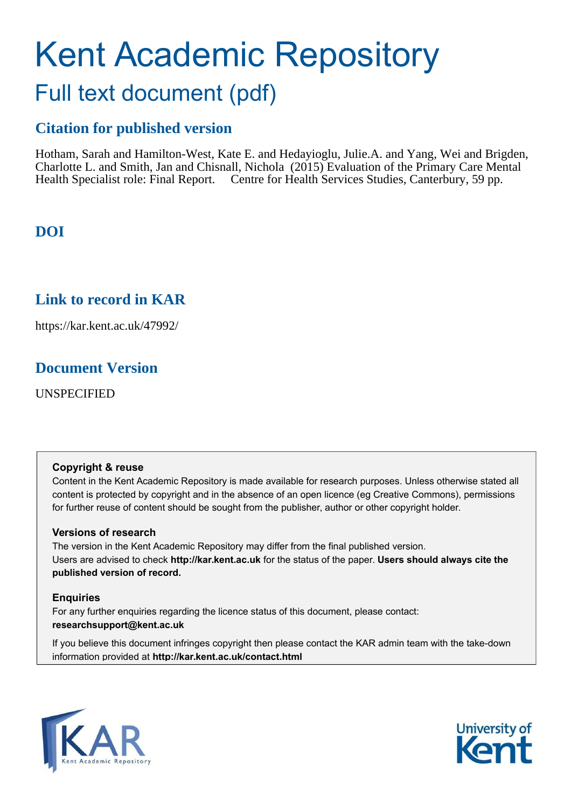# Kent Academic Repository Full text document (pdf)

# **Citation for published version**

Hotham, Sarah and Hamilton-West, Kate E. and Hedayioglu, Julie.A. and Yang, Wei and Brigden, Charlotte L. and Smith, Jan and Chisnall, Nichola (2015) Evaluation of the Primary Care Mental Health Specialist role: Final Report. Centre for Health Services Studies, Canterbury, 59 pp.

# **DOI**

# **Link to record in KAR**

https://kar.kent.ac.uk/47992/

# **Document Version**

UNSPECIFIED

## **Copyright & reuse**

Content in the Kent Academic Repository is made available for research purposes. Unless otherwise stated all content is protected by copyright and in the absence of an open licence (eg Creative Commons), permissions for further reuse of content should be sought from the publisher, author or other copyright holder.

# **Versions of research**

The version in the Kent Academic Repository may differ from the final published version. Users are advised to check **http://kar.kent.ac.uk** for the status of the paper. **Users should always cite the published version of record.**

# **Enquiries**

For any further enquiries regarding the licence status of this document, please contact: **researchsupport@kent.ac.uk**

If you believe this document infringes copyright then please contact the KAR admin team with the take-down information provided at **http://kar.kent.ac.uk/contact.html**



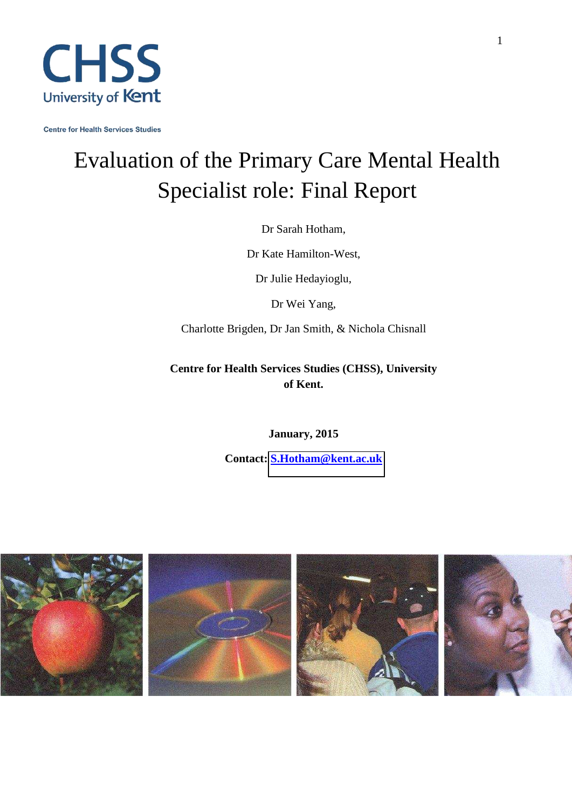

<span id="page-1-0"></span>**Centre for Health Services Studies** 

# Evaluation of the Primary Care Mental Health Specialist role: Final Report

Dr Sarah Hotham,

Dr Kate Hamilton-West,

Dr Julie Hedayioglu,

Dr Wei Yang,

Charlotte Brigden, Dr Jan Smith, & Nichola Chisnall

**Centre for Health Services Studies (CHSS), University of Kent.** 

**January, 2015** 

**Contact: [S.Hotham@kent.ac.uk](mailto:S.Hotham@kent.ac.uk)**

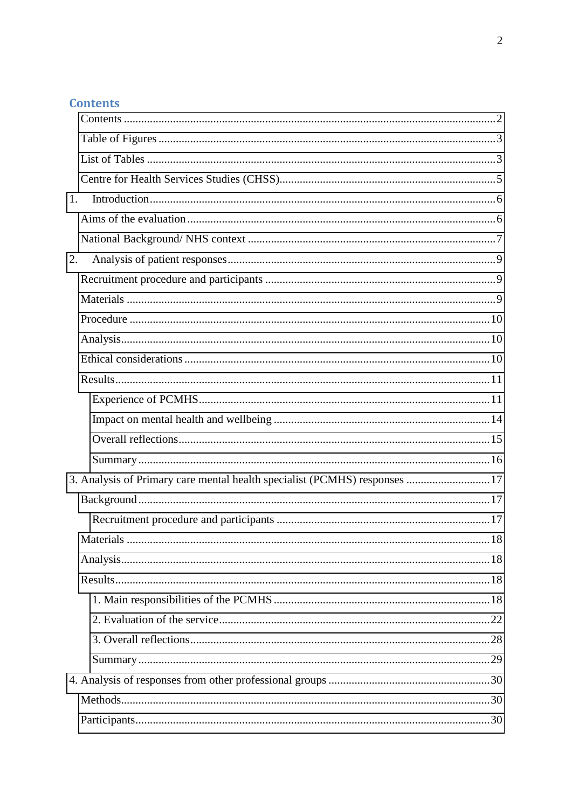# **Contents**

<span id="page-2-1"></span><span id="page-2-0"></span>

| 1. |                                                                           |     |
|----|---------------------------------------------------------------------------|-----|
|    |                                                                           |     |
|    |                                                                           |     |
| 2. |                                                                           |     |
|    |                                                                           |     |
|    |                                                                           |     |
|    |                                                                           |     |
|    |                                                                           |     |
|    |                                                                           |     |
|    |                                                                           |     |
|    |                                                                           |     |
|    |                                                                           |     |
|    |                                                                           |     |
|    |                                                                           |     |
|    | 3. Analysis of Primary care mental health specialist (PCMHS) responses 17 |     |
|    |                                                                           |     |
|    |                                                                           |     |
|    | <b>Materials</b>                                                          | .18 |
|    |                                                                           |     |
|    |                                                                           |     |
|    |                                                                           |     |
|    |                                                                           |     |
|    |                                                                           |     |
|    |                                                                           |     |
|    |                                                                           |     |
|    |                                                                           |     |
|    |                                                                           |     |
|    |                                                                           |     |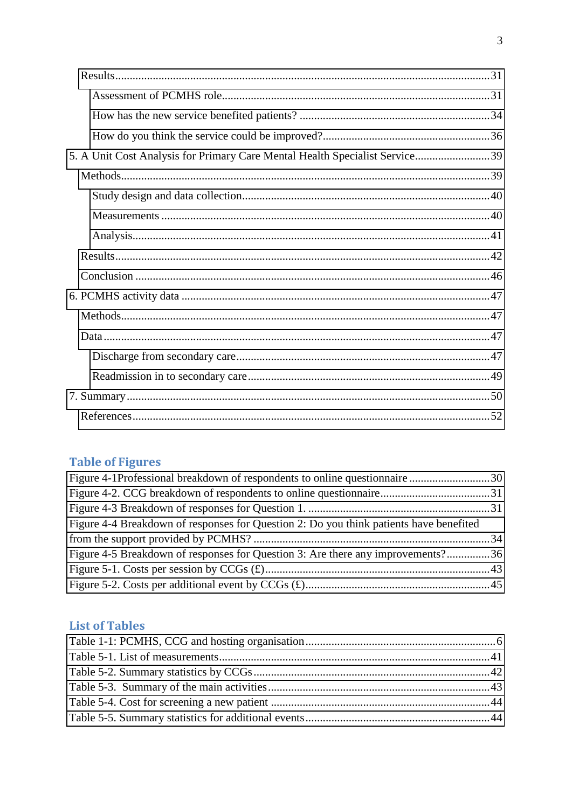| 5. A Unit Cost Analysis for Primary Care Mental Health Specialist Service39 |  |
|-----------------------------------------------------------------------------|--|
|                                                                             |  |
|                                                                             |  |
|                                                                             |  |
|                                                                             |  |
|                                                                             |  |
|                                                                             |  |
|                                                                             |  |
|                                                                             |  |
|                                                                             |  |
|                                                                             |  |
|                                                                             |  |
|                                                                             |  |
|                                                                             |  |

# **Table of Figures**

| Figure 4-1Professional breakdown of respondents to online questionnaire 30             |  |
|----------------------------------------------------------------------------------------|--|
|                                                                                        |  |
|                                                                                        |  |
| Figure 4-4 Breakdown of responses for Question 2: Do you think patients have benefited |  |
|                                                                                        |  |
| Figure 4-5 Breakdown of responses for Question 3: Are there any improvements?36        |  |
|                                                                                        |  |
|                                                                                        |  |
|                                                                                        |  |

# **List of Tables**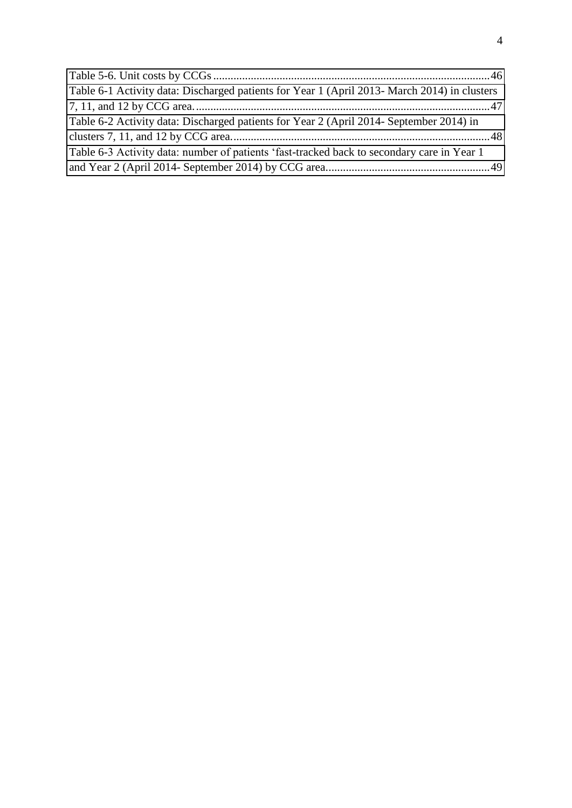<span id="page-4-0"></span>

| Table 6-1 Activity data: Discharged patients for Year 1 (April 2013- March 2014) in clusters |  |
|----------------------------------------------------------------------------------------------|--|
|                                                                                              |  |
| Table 6-2 Activity data: Discharged patients for Year 2 (April 2014- September 2014) in      |  |
|                                                                                              |  |
| Table 6-3 Activity data: number of patients 'fast-tracked back to secondary care in Year 1   |  |
|                                                                                              |  |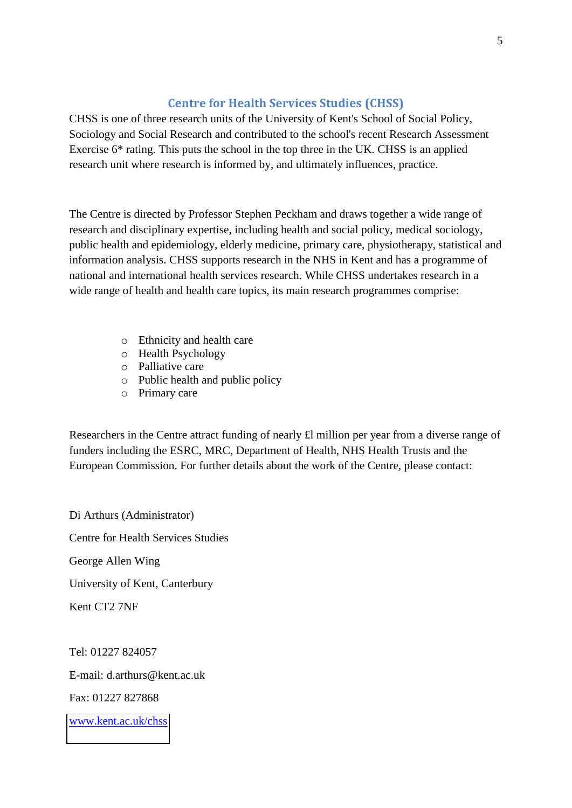# **Centre for Health Services Studies (CHSS)**

<span id="page-5-1"></span><span id="page-5-0"></span>CHSS is one of three research units of the University of Kent's School of Social Policy, Sociology and Social Research and contributed to the school's recent Research Assessment Exercise 6\* rating. This puts the school in the top three in the UK. CHSS is an applied research unit where research is informed by, and ultimately influences, practice.

The Centre is directed by Professor Stephen Peckham and draws together a wide range of research and disciplinary expertise, including health and social policy, medical sociology, public health and epidemiology, elderly medicine, primary care, physiotherapy, statistical and information analysis. CHSS supports research in the NHS in Kent and has a programme of national and international health services research. While CHSS undertakes research in a wide range of health and health care topics, its main research programmes comprise:

- <span id="page-5-2"></span>o Ethnicity and health care
- o Health Psychology
- o Palliative care
- o Public health and public policy
- o Primary care

Researchers in the Centre attract funding of nearly £l million per year from a diverse range of funders including the ESRC, MRC, Department of Health, NHS Health Trusts and the European Commission. For further details about the work of the Centre, please contact:

Di Arthurs (Administrator) Centre for Health Services Studies George Allen Wing University of Kent, Canterbury Kent CT2 7NF

Tel: 01227 824057 E-mail: d.arthurs@kent.ac.uk Fax: 01227 827868 [www.kent.ac.uk/chss](http://www.kent.ac.uk/chss)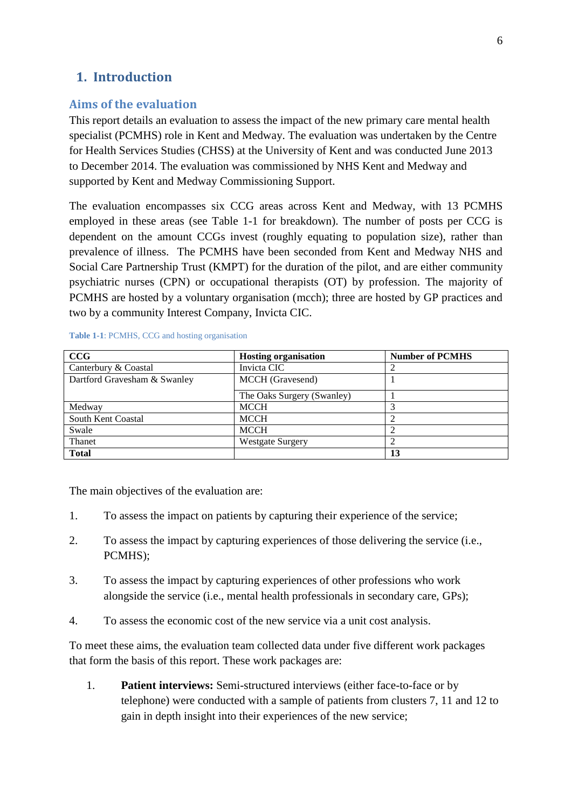# **1. Introduction**

## **Aims of the evaluation**

This report details an evaluation to assess the impact of the new primary care mental health specialist (PCMHS) role in Kent and Medway. The evaluation was undertaken by the Centre for Health Services Studies (CHSS) at the University of Kent and was conducted June 2013 to December 2014. The evaluation was commissioned by NHS Kent and Medway and supported by Kent and Medway Commissioning Support.

The evaluation encompasses six CCG areas across Kent and Medway, with 13 PCMHS employed in these areas (see Table 1-1 for breakdown). The number of posts per CCG is dependent on the amount CCGs invest (roughly equating to population size), rather than prevalence of illness. The PCMHS have been seconded from Kent and Medway NHS and Social Care Partnership Trust (KMPT) for the duration of the pilot, and are either community psychiatric nurses (CPN) or occupational therapists (OT) by profession. The majority of PCMHS are hosted by a voluntary organisation (mcch); three are hosted by GP practices and two by a community Interest Company, Invicta CIC.

#### <span id="page-6-0"></span>**Table 1-1**: PCMHS, CCG and hosting organisation

| CCG                          | <b>Hosting organisation</b> | <b>Number of PCMHS</b> |
|------------------------------|-----------------------------|------------------------|
| Canterbury & Coastal         | Invicta CIC                 |                        |
| Dartford Gravesham & Swanley | MCCH (Gravesend)            |                        |
|                              | The Oaks Surgery (Swanley)  |                        |
| Medway                       | <b>MCCH</b>                 |                        |
| South Kent Coastal           | <b>MCCH</b>                 |                        |
| Swale                        | <b>MCCH</b>                 |                        |
| Thanet                       | <b>Westgate Surgery</b>     |                        |
| <b>Total</b>                 |                             | 13                     |

The main objectives of the evaluation are:

- 1. To assess the impact on patients by capturing their experience of the service;
- 2. To assess the impact by capturing experiences of those delivering the service (i.e., PCMHS);
- 3. To assess the impact by capturing experiences of other professions who work alongside the service (i.e., mental health professionals in secondary care, GPs);
- 4. To assess the economic cost of the new service via a unit cost analysis.

To meet these aims, the evaluation team collected data under five different work packages that form the basis of this report. These work packages are:

1. **Patient interviews:** Semi-structured interviews (either face-to-face or by telephone) were conducted with a sample of patients from clusters 7, 11 and 12 to gain in depth insight into their experiences of the new service;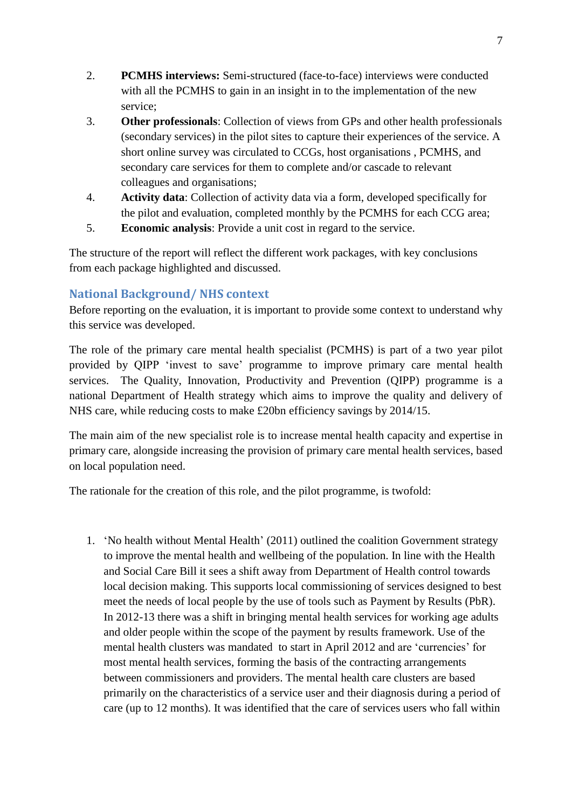- 2. **PCMHS interviews:** Semi-structured (face-to-face) interviews were conducted with all the PCMHS to gain in an insight in to the implementation of the new service;
- 3. **Other professionals**: Collection of views from GPs and other health professionals (secondary services) in the pilot sites to capture their experiences of the service. A short online survey was circulated to CCGs, host organisations , PCMHS, and secondary care services for them to complete and/or cascade to relevant colleagues and organisations;
- 4. **Activity data**: Collection of activity data via a form, developed specifically for the pilot and evaluation, completed monthly by the PCMHS for each CCG area;
- 5. **Economic analysis**: Provide a unit cost in regard to the service.

The structure of the report will reflect the different work packages, with key conclusions from each package highlighted and discussed.

# **National Background/ NHS context**

Before reporting on the evaluation, it is important to provide some context to understand why this service was developed.

The role of the primary care mental health specialist (PCMHS) is part of a two year pilot provided by QIPP 'invest to save' programme to improve primary care mental health services. The Quality, Innovation, Productivity and Prevention (QIPP) programme is a national Department of Health strategy which aims to improve the quality and delivery of NHS care, while reducing costs to make £20bn efficiency savings by 2014/15.

The main aim of the new specialist role is to increase mental health capacity and expertise in primary care, alongside increasing the provision of primary care mental health services, based on local population need.

The rationale for the creation of this role, and the pilot programme, is twofold:

1. 'No health without Mental Health' (2011) outlined the coalition Government strategy to improve the mental health and wellbeing of the population. In line with the Health and Social Care Bill it sees a shift away from Department of Health control towards local decision making. This supports local commissioning of services designed to best meet the needs of local people by the use of tools such as Payment by Results (PbR). In 2012-13 there was a shift in bringing mental health services for working age adults and older people within the scope of the payment by results framework. Use of the mental health clusters was mandated to start in April 2012 and are 'currencies' for most mental health services, forming the basis of the contracting arrangements between commissioners and providers. The mental health care clusters are based primarily on the characteristics of a service user and their diagnosis during a period of care (up to 12 months). It was identified that the care of services users who fall within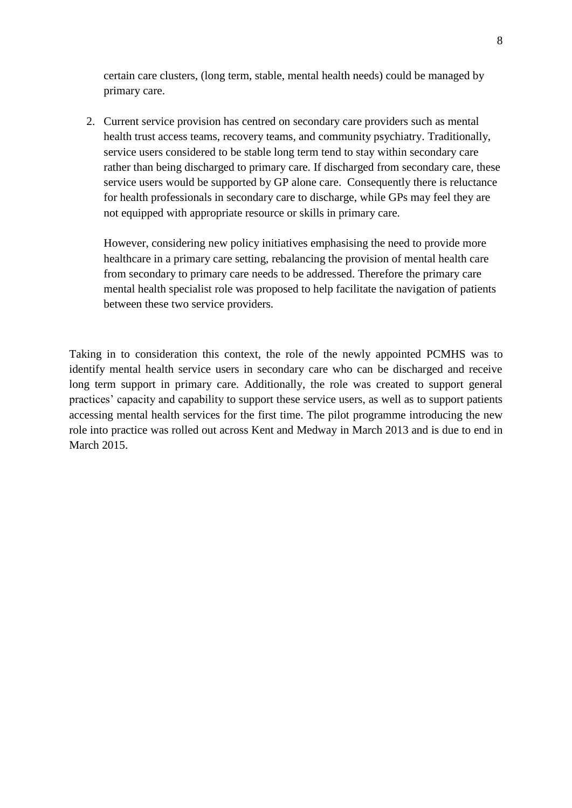<span id="page-8-0"></span>certain care clusters, (long term, stable, mental health needs) could be managed by primary care.

2. Current service provision has centred on secondary care providers such as mental health trust access teams, recovery teams, and community psychiatry. Traditionally, service users considered to be stable long term tend to stay within secondary care rather than being discharged to primary care. If discharged from secondary care, these service users would be supported by GP alone care. Consequently there is reluctance for health professionals in secondary care to discharge, while GPs may feel they are not equipped with appropriate resource or skills in primary care.

<span id="page-8-1"></span>However, considering new policy initiatives emphasising the need to provide more healthcare in a primary care setting, rebalancing the provision of mental health care from secondary to primary care needs to be addressed. Therefore the primary care mental health specialist role was proposed to help facilitate the navigation of patients between these two service providers.

<span id="page-8-2"></span>Taking in to consideration this context, the role of the newly appointed PCMHS was to identify mental health service users in secondary care who can be discharged and receive long term support in primary care. Additionally, the role was created to support general practices' capacity and capability to support these service users, as well as to support patients accessing mental health services for the first time. The pilot programme introducing the new role into practice was rolled out across Kent and Medway in March 2013 and is due to end in March 2015.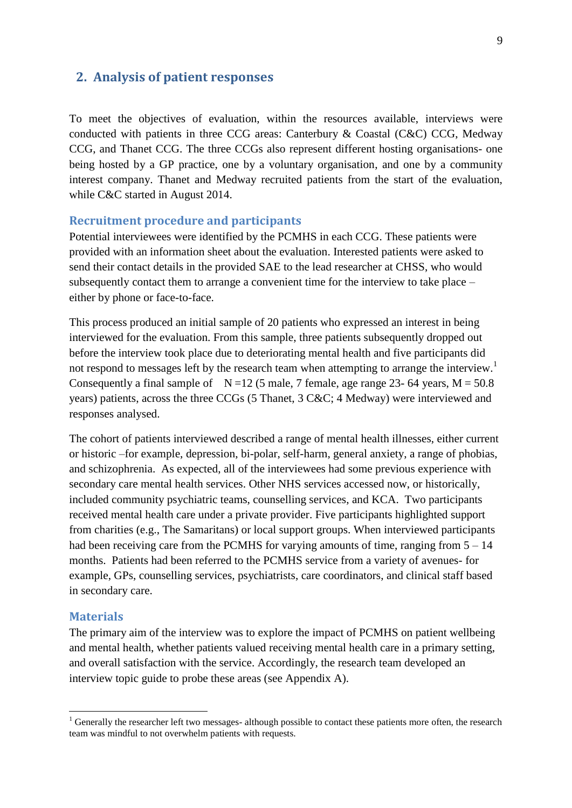## <span id="page-9-0"></span>**2. Analysis of patient responses**

To meet the objectives of evaluation, within the resources available, interviews were conducted with patients in three CCG areas: Canterbury & Coastal (C&C) CCG, Medway CCG, and Thanet CCG. The three CCGs also represent different hosting organisations- one being hosted by a GP practice, one by a voluntary organisation, and one by a community interest company. Thanet and Medway recruited patients from the start of the evaluation, while C&C started in August 2014.

## **Recruitment procedure and participants**

<span id="page-9-1"></span>Potential interviewees were identified by the PCMHS in each CCG. These patients were provided with an information sheet about the evaluation. Interested patients were asked to send their contact details in the provided SAE to the lead researcher at CHSS, who would subsequently contact them to arrange a convenient time for the interview to take place – either by phone or face-to-face.

This process produced an initial sample of 20 patients who expressed an interest in being interviewed for the evaluation. From this sample, three patients subsequently dropped out before the interview took place due to deteriorating mental health and five participants did not respond to messages left by the research team when attempting to arrange the interview.<sup>1</sup> Consequently a final sample of  $N = 12$  (5 male, 7 female, age range 23- 64 years,  $M = 50.8$ ) years) patients, across the three CCGs (5 Thanet, 3 C&C; 4 Medway) were interviewed and responses analysed.

The cohort of patients interviewed described a range of mental health illnesses, either current or historic –for example, depression, bi-polar, self-harm, general anxiety, a range of phobias, and schizophrenia. As expected, all of the interviewees had some previous experience with secondary care mental health services. Other NHS services accessed now, or historically, included community psychiatric teams, counselling services, and KCA. Two participants received mental health care under a private provider. Five participants highlighted support from charities (e.g., The Samaritans) or local support groups. When interviewed participants had been receiving care from the PCMHS for varying amounts of time, ranging from  $5 - 14$ months. Patients had been referred to the PCMHS service from a variety of avenues- for example, GPs, counselling services, psychiatrists, care coordinators, and clinical staff based in secondary care.

#### <span id="page-9-2"></span>**Materials**

<u>.</u>

The primary aim of the interview was to explore the impact of PCMHS on patient wellbeing and mental health, whether patients valued receiving mental health care in a primary setting, and overall satisfaction with the service. Accordingly, the research team developed an interview topic guide to probe these areas (see Appendix A).

<sup>&</sup>lt;sup>1</sup> Generally the researcher left two messages- although possible to contact these patients more often, the research team was mindful to not overwhelm patients with requests.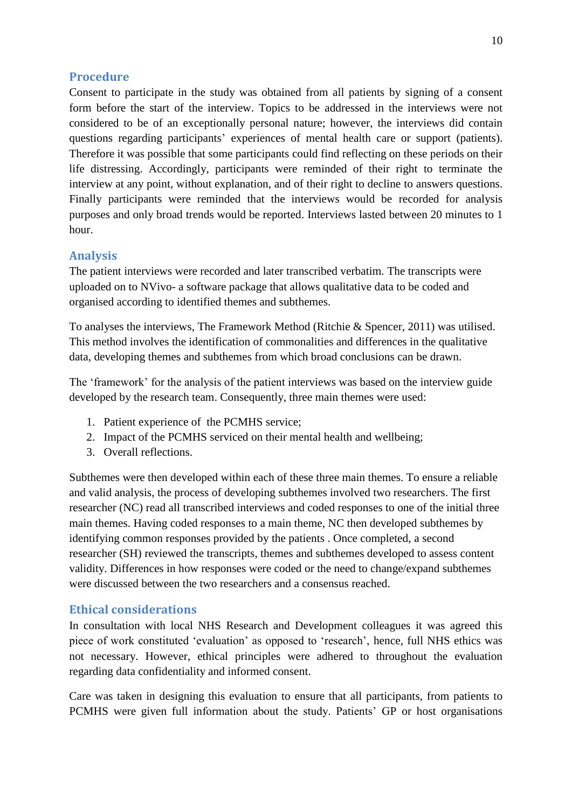## **Procedure**

Consent to participate in the study was obtained from all patients by signing of a consent form before the start of the interview. Topics to be addressed in the interviews were not considered to be of an exceptionally personal nature; however, the interviews did contain questions regarding participants' experiences of mental health care or support (patients). Therefore it was possible that some participants could find reflecting on these periods on their life distressing. Accordingly, participants were reminded of their right to terminate the interview at any point, without explanation, and of their right to decline to answers questions. Finally participants were reminded that the interviews would be recorded for analysis purposes and only broad trends would be reported. Interviews lasted between 20 minutes to 1 hour.

## **Analysis**

The patient interviews were recorded and later transcribed verbatim. The transcripts were uploaded on to NVivo- a software package that allows qualitative data to be coded and organised according to identified themes and subthemes.

<span id="page-10-0"></span>To analyses the interviews, The Framework Method (Ritchie & Spencer, 2011) was utilised. This method involves the identification of commonalities and differences in the qualitative data, developing themes and subthemes from which broad conclusions can be drawn.

<span id="page-10-1"></span>The 'framework' for the analysis of the patient interviews was based on the interview guide developed by the research team. Consequently, three main themes were used:

- 1. Patient experience of the PCMHS service;
- 2. Impact of the PCMHS serviced on their mental health and wellbeing;
- 3. Overall reflections.

Subthemes were then developed within each of these three main themes. To ensure a reliable and valid analysis, the process of developing subthemes involved two researchers. The first researcher (NC) read all transcribed interviews and coded responses to one of the initial three main themes. Having coded responses to a main theme, NC then developed subthemes by identifying common responses provided by the patients . Once completed, a second researcher (SH) reviewed the transcripts, themes and subthemes developed to assess content validity. Differences in how responses were coded or the need to change/expand subthemes were discussed between the two researchers and a consensus reached.

## **Ethical considerations**

In consultation with local NHS Research and Development colleagues it was agreed this piece of work constituted 'evaluation' as opposed to 'research', hence, full NHS ethics was not necessary. However, ethical principles were adhered to throughout the evaluation regarding data confidentiality and informed consent.

Care was taken in designing this evaluation to ensure that all participants, from patients to PCMHS were given full information about the study. Patients' GP or host organisations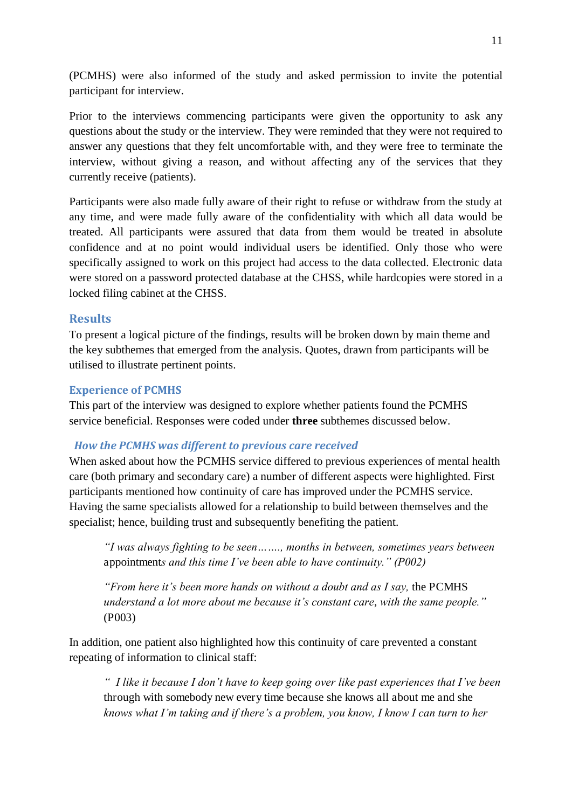(PCMHS) were also informed of the study and asked permission to invite the potential participant for interview.

Prior to the interviews commencing participants were given the opportunity to ask any questions about the study or the interview. They were reminded that they were not required to answer any questions that they felt uncomfortable with, and they were free to terminate the interview, without giving a reason, and without affecting any of the services that they currently receive (patients).

Participants were also made fully aware of their right to refuse or withdraw from the study at any time, and were made fully aware of the confidentiality with which all data would be treated. All participants were assured that data from them would be treated in absolute confidence and at no point would individual users be identified. Only those who were specifically assigned to work on this project had access to the data collected. Electronic data were stored on a password protected database at the CHSS, while hardcopies were stored in a locked filing cabinet at the CHSS.

## **Results**

To present a logical picture of the findings, results will be broken down by main theme and the key subthemes that emerged from the analysis. Quotes, drawn from participants will be utilised to illustrate pertinent points.

## **Experience of PCMHS**

This part of the interview was designed to explore whether patients found the PCMHS service beneficial. Responses were coded under **three** subthemes discussed below.

#### *How the PCMHS was different to previous care received*

When asked about how the PCMHS service differed to previous experiences of mental health care (both primary and secondary care) a number of different aspects were highlighted. First participants mentioned how continuity of care has improved under the PCMHS service. Having the same specialists allowed for a relationship to build between themselves and the specialist; hence, building trust and subsequently benefiting the patient.

*"I was always fighting to be seen……., months in between, sometimes years between*  appointment*s and this time I've been able to have continuity." (P002)*

*"From here it's been more hands on without a doubt and as I say,* the PCMHS *understand a lot more about me because it's constant care*, *with the same people."* (P003)

In addition, one patient also highlighted how this continuity of care prevented a constant repeating of information to clinical staff:

*" I like it because I don't have to keep going over like past experiences that I've been*  through with somebody new every time because she knows all about me and she *knows what I'm taking and if there's a problem, you know, I know I can turn to her*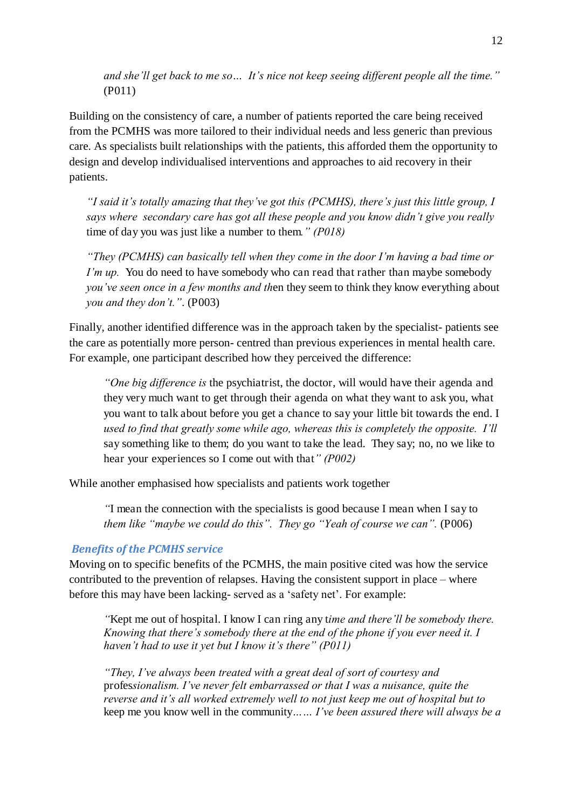*and she'll get back to me so… It's nice not keep seeing different people all the time."*  (P011)

Building on the consistency of care, a number of patients reported the care being received from the PCMHS was more tailored to their individual needs and less generic than previous care. As specialists built relationships with the patients, this afforded them the opportunity to design and develop individualised interventions and approaches to aid recovery in their patients.

*"I said it's totally amazing that they've got this (PCMHS), there's just this little group, I says where secondary care has got all these people and you know didn't give you really*  time of day you was just like a number to them*." (P018)*

*"They (PCMHS) can basically tell when they come in the door I'm having a bad time or I'm up.* You do need to have somebody who can read that rather than maybe somebody *you've seen once in a few months and th*en they seem to think they know everything about *you and they don't."*. (P003)

Finally, another identified difference was in the approach taken by the specialist- patients see the care as potentially more person- centred than previous experiences in mental health care. For example, one participant described how they perceived the difference:

*"One big difference is* the psychiatrist, the doctor, will would have their agenda and they very much want to get through their agenda on what they want to ask you, what you want to talk about before you get a chance to say your little bit towards the end. I *used to find that greatly some while ago, whereas this is completely the opposite. I'll*  say something like to them; do you want to take the lead. They say; no, no we like to hear your experiences so I come out with that*" (P002)*

While another emphasised how specialists and patients work together

*"*I mean the connection with the specialists is good because I mean when I say to *them like "maybe we could do this". They go "Yeah of course we can".* (P006)

# *Benefits of the PCMHS service*

Moving on to specific benefits of the PCMHS, the main positive cited was how the service contributed to the prevention of relapses. Having the consistent support in place – where before this may have been lacking- served as a 'safety net'. For example:

*"*Kept me out of hospital. I know I can ring any t*ime and there'll be somebody there. Knowing that there's somebody there at the end of the phone if you ever need it. I haven't had to use it yet but I know it's there" (P011)*

*"They, I've always been treated with a great deal of sort of courtesy and*  profes*sionalism. I've never felt embarrassed or that I was a nuisance, quite the reverse and it's all worked extremely well to not just keep me out of hospital but to*  keep me you know well in the community*…… I've been assured there will always be a*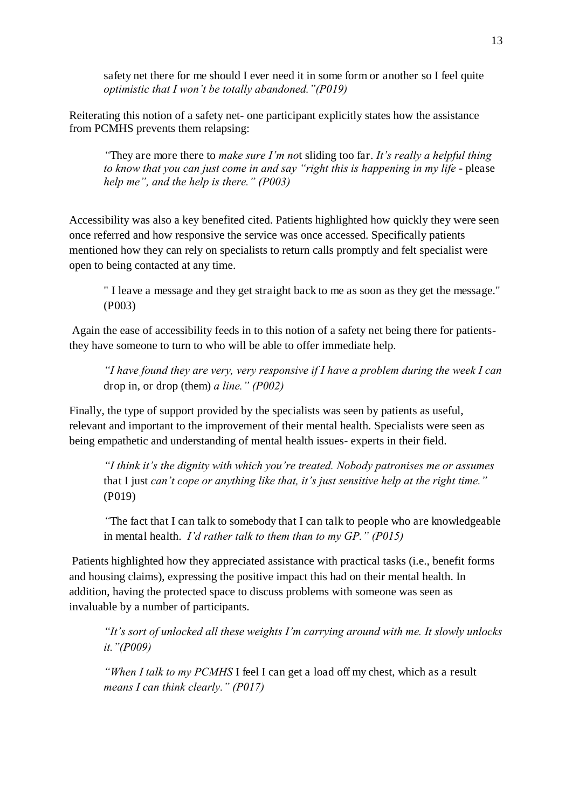safety net there for me should I ever need it in some form or another so I feel quite *optimistic that I won't be totally abandoned."(P019)*

Reiterating this notion of a safety net- one participant explicitly states how the assistance from PCMHS prevents them relapsing:

*"*They are more there to *make sure I'm no*t sliding too far. *It's really a helpful thing to know that you can just come in and say "right this is happening in my life - please help me", and the help is there." (P003)*

<span id="page-13-0"></span>Accessibility was also a key benefited cited. Patients highlighted how quickly they were seen once referred and how responsive the service was once accessed. Specifically patients mentioned how they can rely on specialists to return calls promptly and felt specialist were open to being contacted at any time.

" I leave a message and they get straight back to me as soon as they get the message." (P003)

 Again the ease of accessibility feeds in to this notion of a safety net being there for patientsthey have someone to turn to who will be able to offer immediate help.

*"I have found they are very, very responsive if I have a problem during the week I can*  drop in, or drop (them) *a line." (P002)*

Finally, the type of support provided by the specialists was seen by patients as useful, relevant and important to the improvement of their mental health. Specialists were seen as being empathetic and understanding of mental health issues- experts in their field.

*"I think it's the dignity with which you're treated. Nobody patronises me or assumes*  that I just *can't cope or anything like that, it's just sensitive help at the right time."*  (P019)

*"*The fact that I can talk to somebody that I can talk to people who are knowledgeable in mental health. *I'd rather talk to them than to my GP." (P015)*

 Patients highlighted how they appreciated assistance with practical tasks (i.e., benefit forms and housing claims), expressing the positive impact this had on their mental health. In addition, having the protected space to discuss problems with someone was seen as invaluable by a number of participants.

*"It's sort of unlocked all these weights I'm carrying around with me. It slowly unlocks it."(P009)*

*"When I talk to my PCMHS* I feel I can get a load off my chest, which as a result *means I can think clearly." (P017)*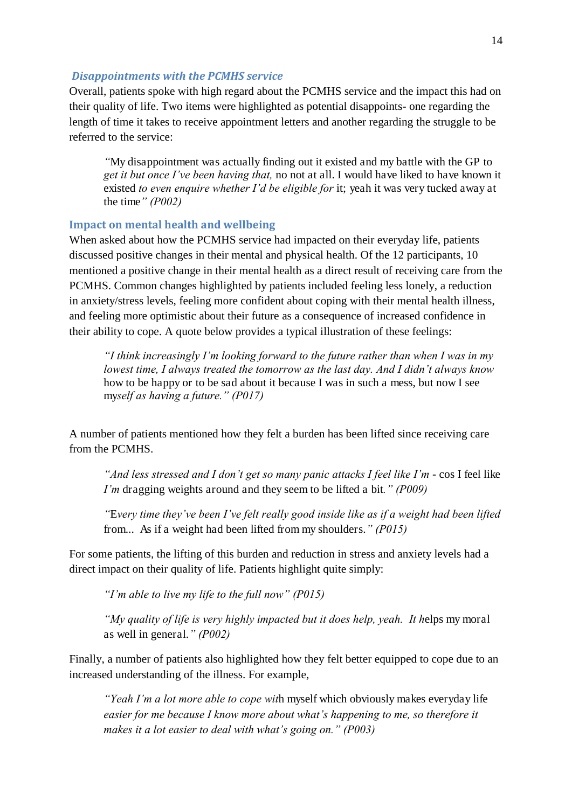#### *Disappointments with the PCMHS service*

Overall, patients spoke with high regard about the PCMHS service and the impact this had on their quality of life. Two items were highlighted as potential disappoints- one regarding the length of time it takes to receive appointment letters and another regarding the struggle to be referred to the service:

*"*My disappointment was actually finding out it existed and my battle with the GP to *get it but once I've been having that,* no not at all. I would have liked to have known it existed *to even enquire whether I'd be eligible for* it; yeah it was very tucked away at the time*" (P002)*

#### **Impact on mental health and wellbeing**

When asked about how the PCMHS service had impacted on their everyday life, patients discussed positive changes in their mental and physical health. Of the 12 participants, 10 mentioned a positive change in their mental health as a direct result of receiving care from the PCMHS. Common changes highlighted by patients included feeling less lonely, a reduction in anxiety/stress levels, feeling more confident about coping with their mental health illness, and feeling more optimistic about their future as a consequence of increased confidence in their ability to cope. A quote below provides a typical illustration of these feelings:

*"I think increasingly I'm looking forward to the future rather than when I was in my lowest time, I always treated the tomorrow as the last day. And I didn't always know*  how to be happy or to be sad about it because I was in such a mess, but now I see my*self as having a future." (P017)*

<span id="page-14-0"></span>A number of patients mentioned how they felt a burden has been lifted since receiving care from the PCMHS.

*"And less stressed and I don't get so many panic attacks I feel like I'm - cos I feel like I'm* dragging weights around and they seem to be lifted a bit*." (P009)*

*"*E*very time they've been I've felt really good inside like as if a weight had been lifted*  from... As if a weight had been lifted from my shoulders.*" (P015)*

For some patients, the lifting of this burden and reduction in stress and anxiety levels had a direct impact on their quality of life. Patients highlight quite simply:

*"I'm able to live my life to the full now" (P015)*

*"My quality of life is very highly impacted but it does help, yeah. It h*elps my moral as well in general.*" (P002)*

Finally, a number of patients also highlighted how they felt better equipped to cope due to an increased understanding of the illness. For example,

*"Yeah I'm a lot more able to cope wit*h myself which obviously makes everyday life *easier for me because I know more about what's happening to me, so therefore it makes it a lot easier to deal with what's going on." (P003)*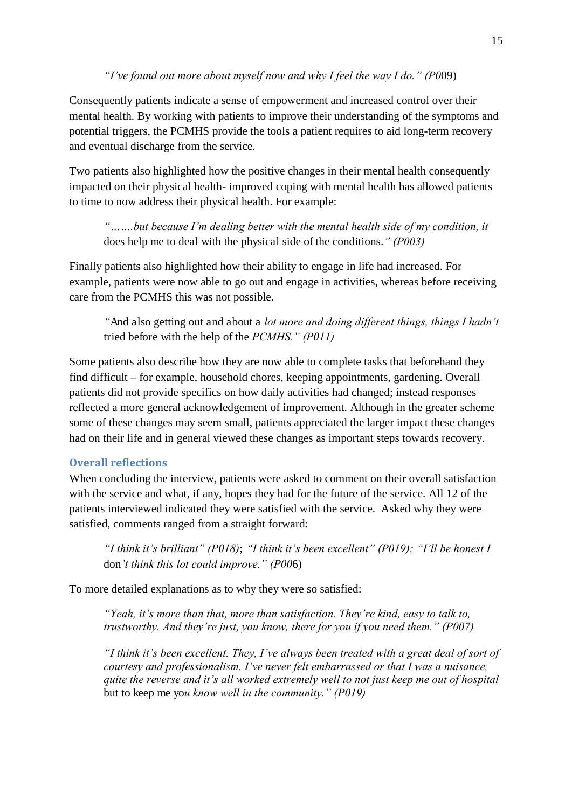*"I've found out more about myself now and why I feel the way I do." (P0*09)

Consequently patients indicate a sense of empowerment and increased control over their mental health. By working with patients to improve their understanding of the symptoms and potential triggers, the PCMHS provide the tools a patient requires to aid long-term recovery and eventual discharge from the service.

<span id="page-15-0"></span>Two patients also highlighted how the positive changes in their mental health consequently impacted on their physical health- improved coping with mental health has allowed patients to time to now address their physical health. For example:

*"…….but because I'm dealing better with the mental health side of my condition, it*  does help me to deal with the physical side of the conditions.*" (P003)*

Finally patients also highlighted how their ability to engage in life had increased. For example, patients were now able to go out and engage in activities, whereas before receiving care from the PCMHS this was not possible.

*"*And also getting out and about a *lot more and doing different things, things I hadn't*  tried before with the help of the *PCMHS." (P011)*

Some patients also describe how they are now able to complete tasks that beforehand they find difficult – for example, household chores, keeping appointments, gardening. Overall patients did not provide specifics on how daily activities had changed; instead responses reflected a more general acknowledgement of improvement. Although in the greater scheme some of these changes may seem small, patients appreciated the larger impact these changes had on their life and in general viewed these changes as important steps towards recovery.

# **Overall reflections**

When concluding the interview, patients were asked to comment on their overall satisfaction with the service and what, if any, hopes they had for the future of the service. All 12 of the patients interviewed indicated they were satisfied with the service. Asked why they were satisfied, comments ranged from a straight forward:

*"I think it's brilliant" (P018)*; *"I think it's been excellent" (P019); "I'll be honest I*  don*'t think this lot could improve." (P00*6)

To more detailed explanations as to why they were so satisfied:

*"Yeah, it's more than that, more than satisfaction. They're kind, easy to talk to, trustworthy. And they're just, you know, there for you if you need them." (P007)*

*"I think it's been excellent. They, I've always been treated with a great deal of sort of courtesy and professionalism. I've never felt embarrassed or that I was a nuisance, quite the reverse and it's all worked extremely well to not just keep me out of hospital* but to keep me yo*u know well in the community." (P019)*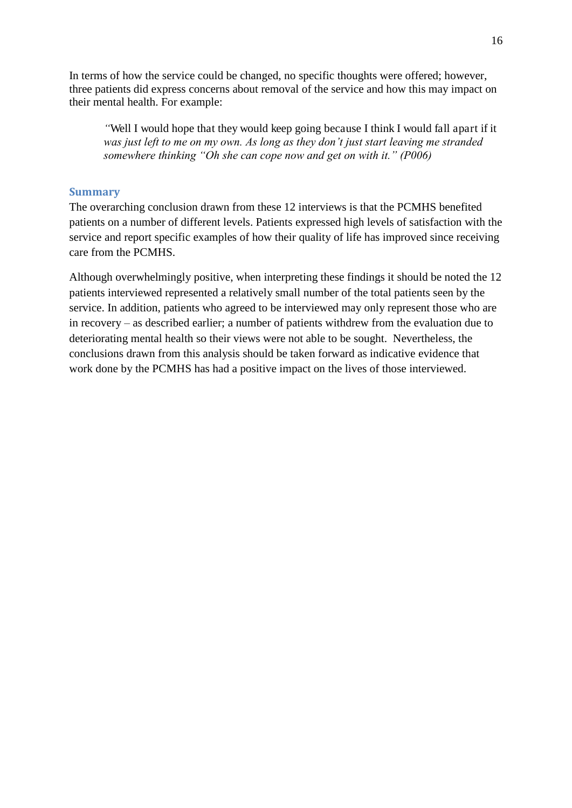<span id="page-16-1"></span><span id="page-16-0"></span>In terms of how the service could be changed, no specific thoughts were offered; however, three patients did express concerns about removal of the service and how this may impact on their mental health. For example:

*"*Well I would hope that they would keep going because I think I would fall apart if it *was just left to me on my own. As long as they don't just start leaving me stranded somewhere thinking "Oh she can cope now and get on with it." (P006)*

## **Summary**

The overarching conclusion drawn from these 12 interviews is that the PCMHS benefited patients on a number of different levels. Patients expressed high levels of satisfaction with the service and report specific examples of how their quality of life has improved since receiving care from the PCMHS.

<span id="page-16-2"></span>Although overwhelmingly positive, when interpreting these findings it should be noted the 12 patients interviewed represented a relatively small number of the total patients seen by the service. In addition, patients who agreed to be interviewed may only represent those who are in recovery – as described earlier; a number of patients withdrew from the evaluation due to deteriorating mental health so their views were not able to be sought. Nevertheless, the conclusions drawn from this analysis should be taken forward as indicative evidence that work done by the PCMHS has had a positive impact on the lives of those interviewed.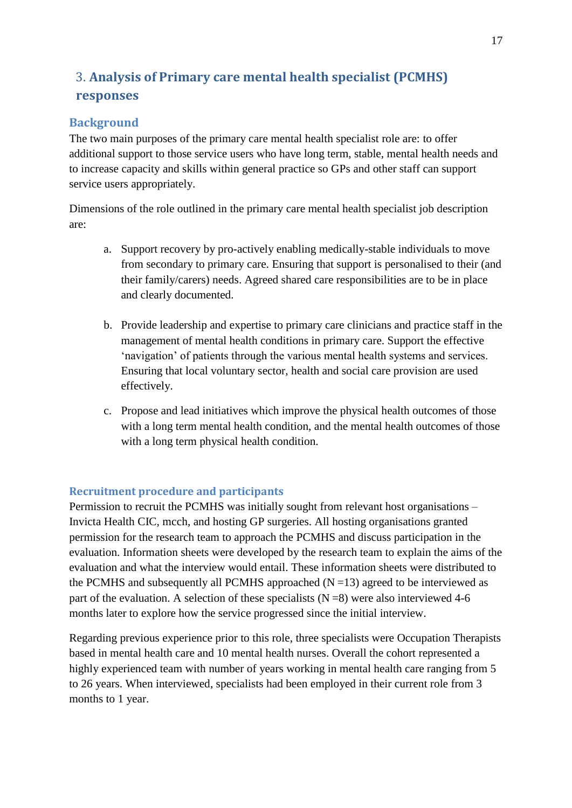# <span id="page-17-0"></span>3. **Analysis of Primary care mental health specialist (PCMHS) responses**

# **Background**

<span id="page-17-1"></span>The two main purposes of the primary care mental health specialist role are: to offer additional support to those service users who have long term, stable, mental health needs and to increase capacity and skills within general practice so GPs and other staff can support service users appropriately.

Dimensions of the role outlined in the primary care mental health specialist job description are:

- a. Support recovery by pro-actively enabling medically-stable individuals to move from secondary to primary care. Ensuring that support is personalised to their (and their family/carers) needs. Agreed shared care responsibilities are to be in place and clearly documented.
- b. Provide leadership and expertise to primary care clinicians and practice staff in the management of mental health conditions in primary care. Support the effective 'navigation' of patients through the various mental health systems and services. Ensuring that local voluntary sector, health and social care provision are used effectively.
- c. Propose and lead initiatives which improve the physical health outcomes of those with a long term mental health condition, and the mental health outcomes of those with a long term physical health condition.

# **Recruitment procedure and participants**

<span id="page-17-2"></span>Permission to recruit the PCMHS was initially sought from relevant host organisations – Invicta Health CIC, mcch, and hosting GP surgeries. All hosting organisations granted permission for the research team to approach the PCMHS and discuss participation in the evaluation. Information sheets were developed by the research team to explain the aims of the evaluation and what the interview would entail. These information sheets were distributed to the PCMHS and subsequently all PCMHS approached  $(N=13)$  agreed to be interviewed as part of the evaluation. A selection of these specialists  $(N=8)$  were also interviewed 4-6 months later to explore how the service progressed since the initial interview.

<span id="page-17-3"></span>Regarding previous experience prior to this role, three specialists were Occupation Therapists based in mental health care and 10 mental health nurses. Overall the cohort represented a highly experienced team with number of years working in mental health care ranging from 5 to 26 years. When interviewed, specialists had been employed in their current role from 3 months to 1 year.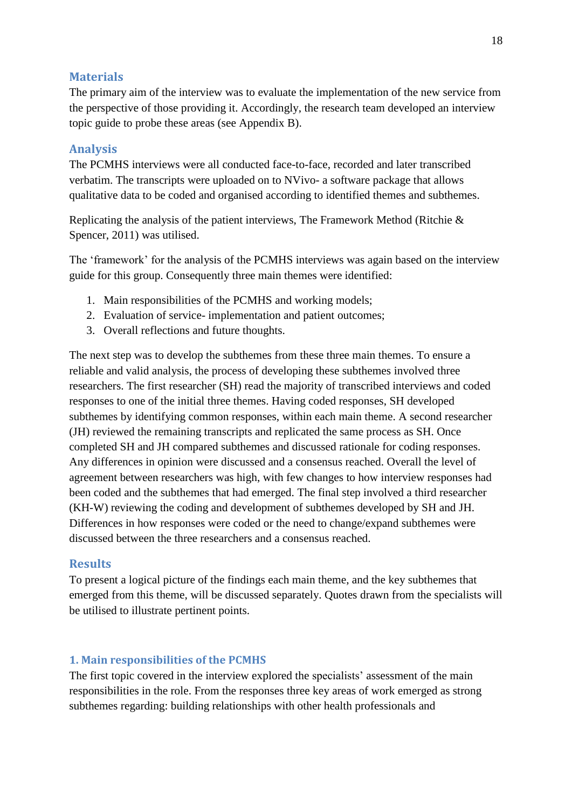# **Materials**

The primary aim of the interview was to evaluate the implementation of the new service from the perspective of those providing it. Accordingly, the research team developed an interview topic guide to probe these areas (see Appendix B).

# **Analysis**

The PCMHS interviews were all conducted face-to-face, recorded and later transcribed verbatim. The transcripts were uploaded on to NVivo- a software package that allows qualitative data to be coded and organised according to identified themes and subthemes.

Replicating the analysis of the patient interviews, The Framework Method (Ritchie & Spencer, 2011) was utilised.

The 'framework' for the analysis of the PCMHS interviews was again based on the interview guide for this group. Consequently three main themes were identified:

- 1. Main responsibilities of the PCMHS and working models;
- 2. Evaluation of service- implementation and patient outcomes;
- 3. Overall reflections and future thoughts.

The next step was to develop the subthemes from these three main themes. To ensure a reliable and valid analysis, the process of developing these subthemes involved three researchers. The first researcher (SH) read the majority of transcribed interviews and coded responses to one of the initial three themes. Having coded responses, SH developed subthemes by identifying common responses, within each main theme. A second researcher (JH) reviewed the remaining transcripts and replicated the same process as SH. Once completed SH and JH compared subthemes and discussed rationale for coding responses. Any differences in opinion were discussed and a consensus reached. Overall the level of agreement between researchers was high, with few changes to how interview responses had been coded and the subthemes that had emerged. The final step involved a third researcher (KH-W) reviewing the coding and development of subthemes developed by SH and JH. Differences in how responses were coded or the need to change/expand subthemes were discussed between the three researchers and a consensus reached.

# **Results**

To present a logical picture of the findings each main theme, and the key subthemes that emerged from this theme, will be discussed separately. Quotes drawn from the specialists will be utilised to illustrate pertinent points.

## **1. Main responsibilities of the PCMHS**

The first topic covered in the interview explored the specialists' assessment of the main responsibilities in the role. From the responses three key areas of work emerged as strong subthemes regarding: building relationships with other health professionals and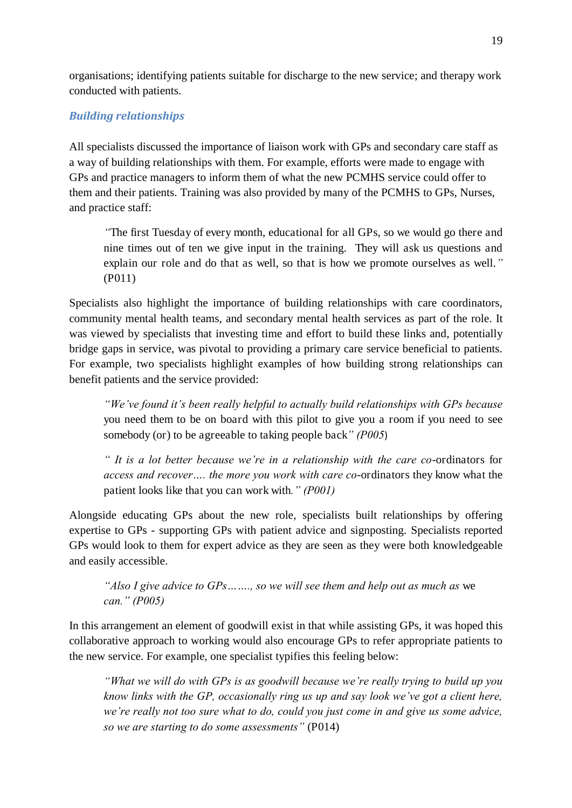organisations; identifying patients suitable for discharge to the new service; and therapy work conducted with patients.

## *Building relationships*

All specialists discussed the importance of liaison work with GPs and secondary care staff as a way of building relationships with them. For example, efforts were made to engage with GPs and practice managers to inform them of what the new PCMHS service could offer to them and their patients. Training was also provided by many of the PCMHS to GPs, Nurses, and practice staff:

*"*The first Tuesday of every month, educational for all GPs, so we would go there and nine times out of ten we give input in the training. They will ask us questions and explain our role and do that as well, so that is how we promote ourselves as well.*"*  (P011)

Specialists also highlight the importance of building relationships with care coordinators, community mental health teams, and secondary mental health services as part of the role. It was viewed by specialists that investing time and effort to build these links and, potentially bridge gaps in service, was pivotal to providing a primary care service beneficial to patients. For example, two specialists highlight examples of how building strong relationships can benefit patients and the service provided:

*"We've found it's been really helpful to actually build relationships with GPs because*  you need them to be on board with this pilot to give you a room if you need to see somebody (or) to be agreeable to taking people back*" (P005*)

*" It is a lot better because we're in a relationship with the care co*-ordinators for *access and recover…. the more you work with care co*-ordinators they know what the patient looks like that you can work with*." (P001)*

Alongside educating GPs about the new role, specialists built relationships by offering expertise to GPs - supporting GPs with patient advice and signposting. Specialists reported GPs would look to them for expert advice as they are seen as they were both knowledgeable and easily accessible.

# *"Also I give advice to GPs……., so we will see them and help out as much as* we *can." (P005)*

In this arrangement an element of goodwill exist in that while assisting GPs, it was hoped this collaborative approach to working would also encourage GPs to refer appropriate patients to the new service. For example, one specialist typifies this feeling below:

*"What we will do with GPs is as goodwill because we're really trying to build up you know links with the GP, occasionally ring us up and say look we've got a client here, we're really not too sure what to do, could you just come in and give us some advice, so we are starting to do some assessments"* (P014)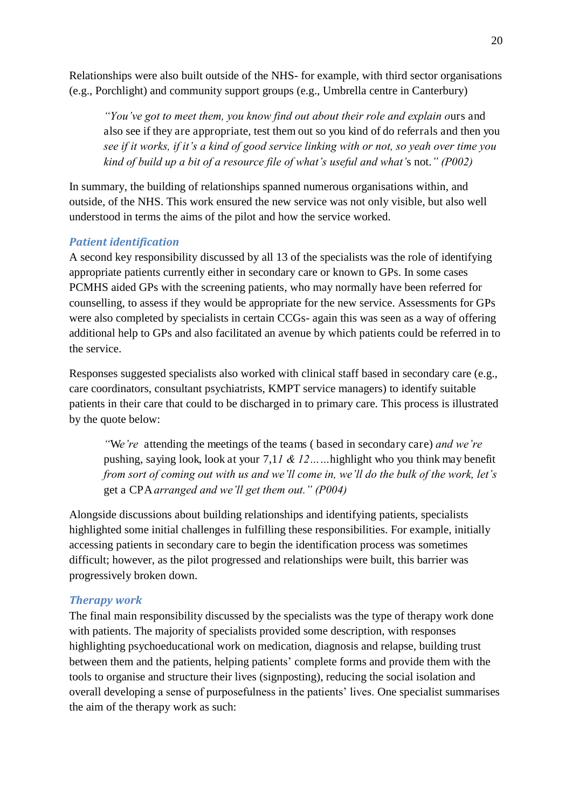Relationships were also built outside of the NHS- for example, with third sector organisations (e.g., Porchlight) and community support groups (e.g., Umbrella centre in Canterbury)

*"You've got to meet them, you know find out about their role and explain o*urs and also see if they are appropriate, test them out so you kind of do referrals and then you *see if it works, if it's a kind of good service linking with or not, so yeah over time you kind of build up a bit of a resource file of what's useful and what'*s not.*" (P002)*

In summary, the building of relationships spanned numerous organisations within, and outside, of the NHS. This work ensured the new service was not only visible, but also well understood in terms the aims of the pilot and how the service worked.

## *Patient identification*

A second key responsibility discussed by all 13 of the specialists was the role of identifying appropriate patients currently either in secondary care or known to GPs. In some cases PCMHS aided GPs with the screening patients, who may normally have been referred for counselling, to assess if they would be appropriate for the new service. Assessments for GPs were also completed by specialists in certain CCGs- again this was seen as a way of offering additional help to GPs and also facilitated an avenue by which patients could be referred in to the service.

Responses suggested specialists also worked with clinical staff based in secondary care (e.g., care coordinators, consultant psychiatrists, KMPT service managers) to identify suitable patients in their care that could to be discharged in to primary care. This process is illustrated by the quote below:

*"*W*e're* attending the meetings of the teams ( based in secondary care) *and we're*  pushing, saying look, look at your 7,1*1 & 12……*highlight who you think may benefit *from sort of coming out with us and we'll come in, we'll do the bulk of the work, let's*  get a CPA *arranged and we'll get them out." (P004)*

Alongside discussions about building relationships and identifying patients, specialists highlighted some initial challenges in fulfilling these responsibilities. For example, initially accessing patients in secondary care to begin the identification process was sometimes difficult; however, as the pilot progressed and relationships were built, this barrier was progressively broken down.

## *Therapy work*

The final main responsibility discussed by the specialists was the type of therapy work done with patients. The majority of specialists provided some description, with responses highlighting psychoeducational work on medication, diagnosis and relapse, building trust between them and the patients, helping patients' complete forms and provide them with the tools to organise and structure their lives (signposting), reducing the social isolation and overall developing a sense of purposefulness in the patients' lives. One specialist summarises the aim of the therapy work as such: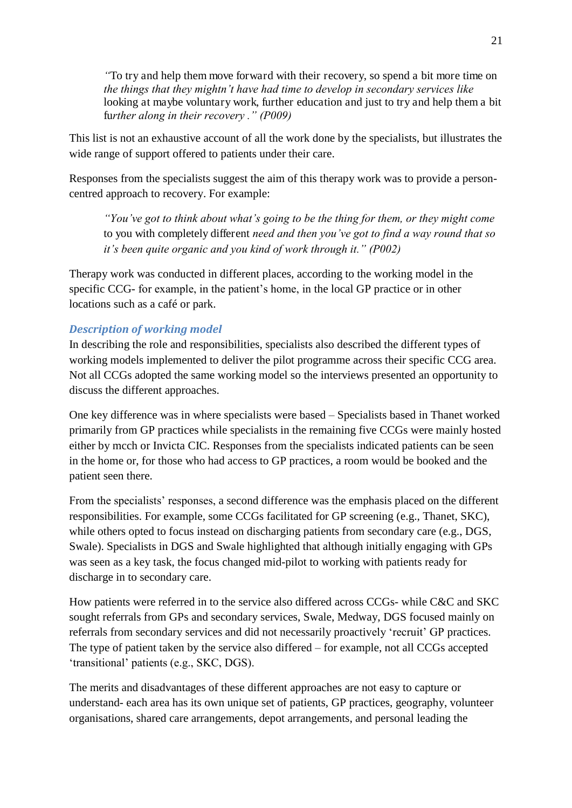*"*To try and help them move forward with their recovery, so spend a bit more time on *the things that they mightn't have had time to develop in secondary services like*  looking at maybe voluntary work, further education and just to try and help them a bit fu*rther along in their recovery ." (P009)*

This list is not an exhaustive account of all the work done by the specialists, but illustrates the wide range of support offered to patients under their care.

Responses from the specialists suggest the aim of this therapy work was to provide a personcentred approach to recovery. For example:

*"You've got to think about what's going to be the thing for them, or they might come*  to you with completely different *need and then you've got to find a way round that so it's been quite organic and you kind of work through it." (P002)*

<span id="page-21-0"></span>Therapy work was conducted in different places, according to the working model in the specific CCG- for example, in the patient's home, in the local GP practice or in other locations such as a café or park.

# *Description of working model*

In describing the role and responsibilities, specialists also described the different types of working models implemented to deliver the pilot programme across their specific CCG area. Not all CCGs adopted the same working model so the interviews presented an opportunity to discuss the different approaches.

One key difference was in where specialists were based – Specialists based in Thanet worked primarily from GP practices while specialists in the remaining five CCGs were mainly hosted either by mcch or Invicta CIC. Responses from the specialists indicated patients can be seen in the home or, for those who had access to GP practices, a room would be booked and the patient seen there.

From the specialists' responses, a second difference was the emphasis placed on the different responsibilities. For example, some CCGs facilitated for GP screening (e.g., Thanet, SKC), while others opted to focus instead on discharging patients from secondary care (e.g., DGS, Swale). Specialists in DGS and Swale highlighted that although initially engaging with GPs was seen as a key task, the focus changed mid-pilot to working with patients ready for discharge in to secondary care.

How patients were referred in to the service also differed across CCGs- while C&C and SKC sought referrals from GPs and secondary services, Swale, Medway, DGS focused mainly on referrals from secondary services and did not necessarily proactively 'recruit' GP practices. The type of patient taken by the service also differed – for example, not all CCGs accepted 'transitional' patients (e.g., SKC, DGS).

The merits and disadvantages of these different approaches are not easy to capture or understand- each area has its own unique set of patients, GP practices, geography, volunteer organisations, shared care arrangements, depot arrangements, and personal leading the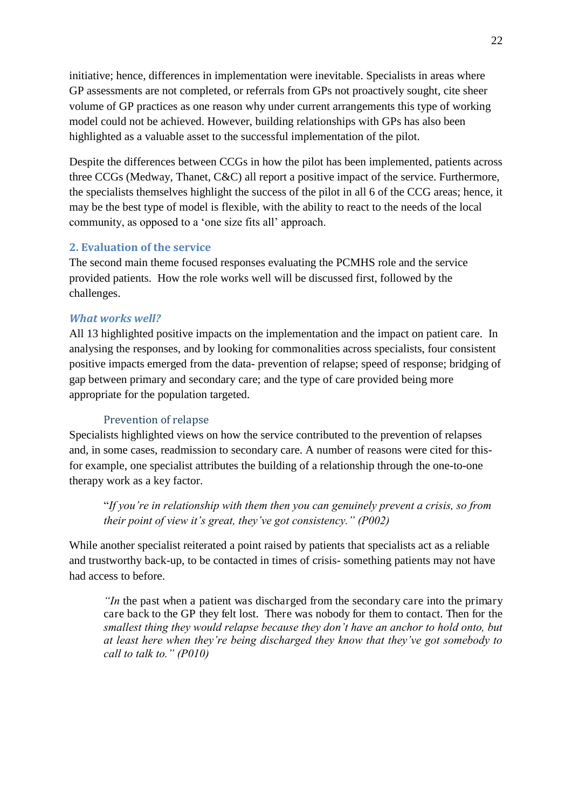initiative; hence, differences in implementation were inevitable. Specialists in areas where GP assessments are not completed, or referrals from GPs not proactively sought, cite sheer volume of GP practices as one reason why under current arrangements this type of working model could not be achieved. However, building relationships with GPs has also been highlighted as a valuable asset to the successful implementation of the pilot.

Despite the differences between CCGs in how the pilot has been implemented, patients across three CCGs (Medway, Thanet, C&C) all report a positive impact of the service. Furthermore, the specialists themselves highlight the success of the pilot in all 6 of the CCG areas; hence, it may be the best type of model is flexible, with the ability to react to the needs of the local community, as opposed to a 'one size fits all' approach.

# **2. Evaluation of the service**

The second main theme focused responses evaluating the PCMHS role and the service provided patients. How the role works well will be discussed first, followed by the challenges.

## *What works well?*

All 13 highlighted positive impacts on the implementation and the impact on patient care. In analysing the responses, and by looking for commonalities across specialists, four consistent positive impacts emerged from the data- prevention of relapse; speed of response; bridging of gap between primary and secondary care; and the type of care provided being more appropriate for the population targeted.

#### Prevention of relapse

Specialists highlighted views on how the service contributed to the prevention of relapses and, in some cases, readmission to secondary care. A number of reasons were cited for thisfor example, one specialist attributes the building of a relationship through the one-to-one therapy work as a key factor.

"*If you're in relationship with them then you can genuinely prevent a crisis, so from their point of view it's great, they've got consistency." (P002)*

While another specialist reiterated a point raised by patients that specialists act as a reliable and trustworthy back-up, to be contacted in times of crisis- something patients may not have had access to before.

*''In* the past when a patient was discharged from the secondary care into the primary care back to the GP they felt lost. There was nobody for them to contact. Then for the *smallest thing they would relapse because they don't have an anchor to hold onto, but at least here when they're being discharged they know that they've got somebody to call to talk to." (P010)*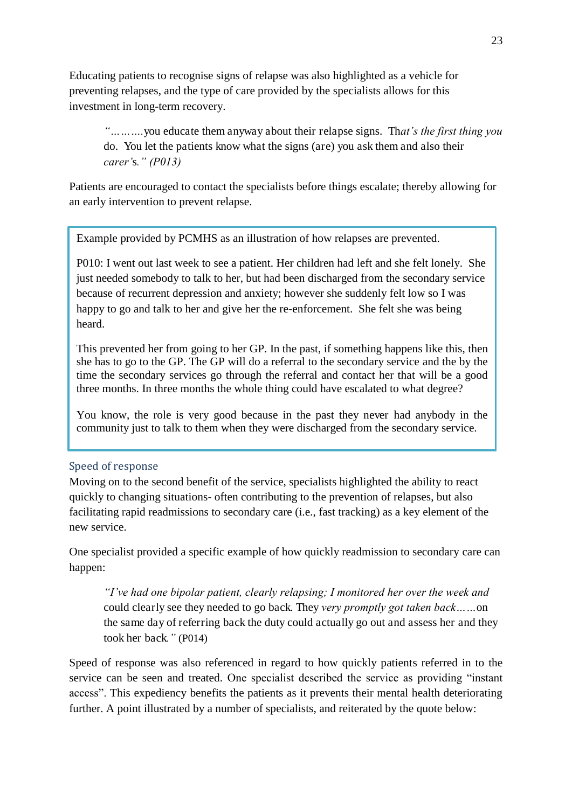Educating patients to recognise signs of relapse was also highlighted as a vehicle for preventing relapses, and the type of care provided by the specialists allows for this investment in long-term recovery.

*"……….*you educate them anyway about their relapse signs. Th*at's the first thing you*  do. You let the patients know what the signs (are) you ask them and also their *carer'*s*." (P013)*

Patients are encouraged to contact the specialists before things escalate; thereby allowing for an early intervention to prevent relapse.

Example provided by PCMHS as an illustration of how relapses are prevented.

P010: I went out last week to see a patient. Her children had left and she felt lonely. She just needed somebody to talk to her, but had been discharged from the secondary service because of recurrent depression and anxiety; however she suddenly felt low so I was happy to go and talk to her and give her the re-enforcement. She felt she was being heard.

This prevented her from going to her GP. In the past, if something happens like this, then she has to go to the GP. The GP will do a referral to the secondary service and the by the time the secondary services go through the referral and contact her that will be a good three months. In three months the whole thing could have escalated to what degree?

You know, the role is very good because in the past they never had anybody in the community just to talk to them when they were discharged from the secondary service.

## Speed of response

Moving on to the second benefit of the service, specialists highlighted the ability to react quickly to changing situations- often contributing to the prevention of relapses, but also facilitating rapid readmissions to secondary care (i.e., fast tracking) as a key element of the new service.

One specialist provided a specific example of how quickly readmission to secondary care can happen:

*"I've had one bipolar patient, clearly relapsing; I monitored her over the week and*  could clearly see they needed to go back. They *very promptly got taken back……*on the same day of referring back the duty could actually go out and assess her and they took her back*."* (P014)

Speed of response was also referenced in regard to how quickly patients referred in to the service can be seen and treated. One specialist described the service as providing "instant access". This expediency benefits the patients as it prevents their mental health deteriorating further. A point illustrated by a number of specialists, and reiterated by the quote below: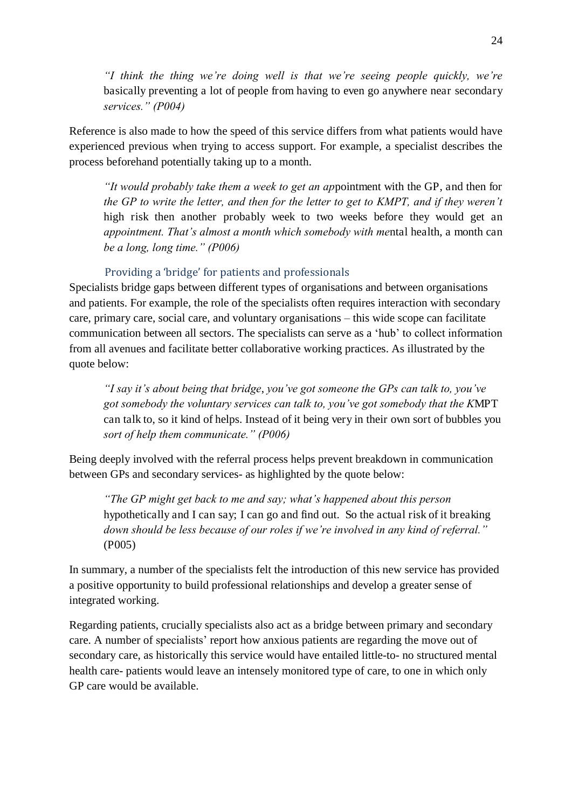*"I think the thing we're doing well is that we're seeing people quickly, we're*  basically preventing a lot of people from having to even go anywhere near secondary *services." (P004)*

Reference is also made to how the speed of this service differs from what patients would have experienced previous when trying to access support. For example, a specialist describes the process beforehand potentially taking up to a month.

*"It would probably take them a week to get an ap*pointment with the GP, and then for *the GP to write the letter, and then for the letter to get to KMPT, and if they weren't*  high risk then another probably week to two weeks before they would get an *appointment. That's almost a month which somebody with me*ntal health, a month can *be a long, long time." (P006)*

# Providing a 'bridge' for patients and professionals

Specialists bridge gaps between different types of organisations and between organisations and patients. For example, the role of the specialists often requires interaction with secondary care, primary care, social care, and voluntary organisations – this wide scope can facilitate communication between all sectors. The specialists can serve as a 'hub' to collect information from all avenues and facilitate better collaborative working practices. As illustrated by the quote below:

*"I say it's about being that bridge*, *you've got someone the GPs can talk to, you've got somebody the voluntary services can talk to, you've got somebody that the K*MPT can talk to, so it kind of helps. Instead of it being very in their own sort of bubbles you *sort of help them communicate." (P006)*

Being deeply involved with the referral process helps prevent breakdown in communication between GPs and secondary services- as highlighted by the quote below:

*"The GP might get back to me and say; what's happened about this person*  hypothetically and I can say; I can go and find out. So the actual risk of it breaking *down should be less because of our roles if we're involved in any kind of referral."*  (P005)

In summary, a number of the specialists felt the introduction of this new service has provided a positive opportunity to build professional relationships and develop a greater sense of integrated working.

Regarding patients, crucially specialists also act as a bridge between primary and secondary care. A number of specialists' report how anxious patients are regarding the move out of secondary care, as historically this service would have entailed little-to- no structured mental health care- patients would leave an intensely monitored type of care, to one in which only GP care would be available.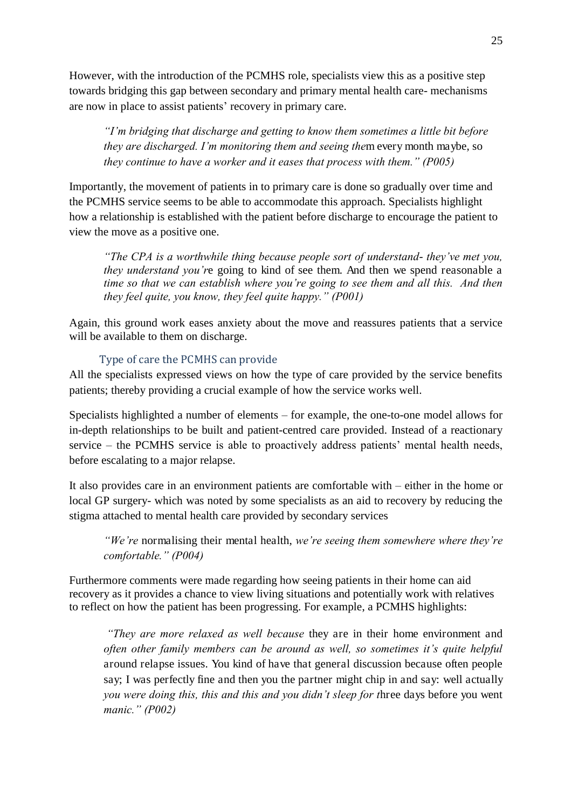However, with the introduction of the PCMHS role, specialists view this as a positive step towards bridging this gap between secondary and primary mental health care- mechanisms are now in place to assist patients' recovery in primary care.

*"I'm bridging that discharge and getting to know them sometimes a little bit before they are discharged. I'm monitoring them and seeing the*m every month maybe, so *they continue to have a worker and it eases that process with them." (P005)*

Importantly, the movement of patients in to primary care is done so gradually over time and the PCMHS service seems to be able to accommodate this approach. Specialists highlight how a relationship is established with the patient before discharge to encourage the patient to view the move as a positive one.

*"The CPA is a worthwhile thing because people sort of understand*- *they've met you, they understand you'r*e going to kind of see them. And then we spend reasonable a *time so that we can establish where you're going to see them and all this. And then they feel quite, you know, they feel quite happy." (P001)*

Again, this ground work eases anxiety about the move and reassures patients that a service will be available to them on discharge.

#### Type of care the PCMHS can provide

All the specialists expressed views on how the type of care provided by the service benefits patients; thereby providing a crucial example of how the service works well.

Specialists highlighted a number of elements – for example, the one-to-one model allows for in-depth relationships to be built and patient-centred care provided. Instead of a reactionary service – the PCMHS service is able to proactively address patients' mental health needs, before escalating to a major relapse.

It also provides care in an environment patients are comfortable with – either in the home or local GP surgery- which was noted by some specialists as an aid to recovery by reducing the stigma attached to mental health care provided by secondary services

*"We're* normalising their mental health, *we're seeing them somewhere where they're comfortable." (P004)*

Furthermore comments were made regarding how seeing patients in their home can aid recovery as it provides a chance to view living situations and potentially work with relatives to reflect on how the patient has been progressing. For example, a PCMHS highlights:

*"They are more relaxed as well because* they are in their home environment and *often other family members can be around as well, so sometimes it's quite helpful*  around relapse issues. You kind of have that general discussion because often people say; I was perfectly fine and then you the partner might chip in and say: well actually *you were doing this, this and this and you didn't sleep for t*hree days before you went *manic." (P002)*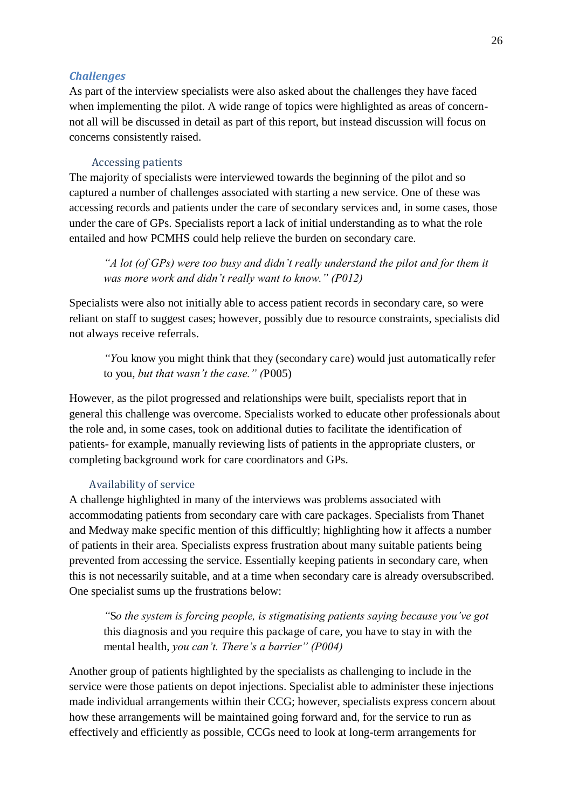#### *Challenges*

As part of the interview specialists were also asked about the challenges they have faced when implementing the pilot. A wide range of topics were highlighted as areas of concernnot all will be discussed in detail as part of this report, but instead discussion will focus on concerns consistently raised.

#### Accessing patients

The majority of specialists were interviewed towards the beginning of the pilot and so captured a number of challenges associated with starting a new service. One of these was accessing records and patients under the care of secondary services and, in some cases, those under the care of GPs. Specialists report a lack of initial understanding as to what the role entailed and how PCMHS could help relieve the burden on secondary care.

*"A lot (of GPs) were too busy and didn't really understand the pilot and for them it was more work and didn't really want to know." (P012)*

Specialists were also not initially able to access patient records in secondary care, so were reliant on staff to suggest cases; however, possibly due to resource constraints, specialists did not always receive referrals.

*"Y*ou know you might think that they (secondary care) would just automatically refer to you, *but that wasn't the case." (*P005)

However, as the pilot progressed and relationships were built, specialists report that in general this challenge was overcome. Specialists worked to educate other professionals about the role and, in some cases, took on additional duties to facilitate the identification of patients- for example, manually reviewing lists of patients in the appropriate clusters, or completing background work for care coordinators and GPs.

### Availability of service

A challenge highlighted in many of the interviews was problems associated with accommodating patients from secondary care with care packages. Specialists from Thanet and Medway make specific mention of this difficultly; highlighting how it affects a number of patients in their area. Specialists express frustration about many suitable patients being prevented from accessing the service. Essentially keeping patients in secondary care, when this is not necessarily suitable, and at a time when secondary care is already oversubscribed. One specialist sums up the frustrations below:

*"*S*o the system is forcing people, is stigmatising patients saying because you've got*  this diagnosis and you require this package of care, you have to stay in with the mental health, *you can't. There's a barrier" (P004)*

Another group of patients highlighted by the specialists as challenging to include in the service were those patients on depot injections. Specialist able to administer these injections made individual arrangements within their CCG; however, specialists express concern about how these arrangements will be maintained going forward and, for the service to run as effectively and efficiently as possible, CCGs need to look at long-term arrangements for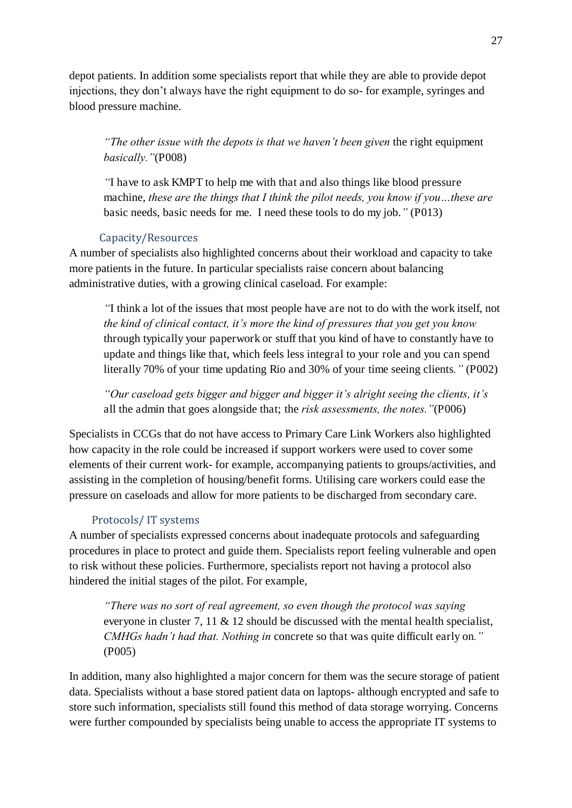depot patients. In addition some specialists report that while they are able to provide depot injections, they don't always have the right equipment to do so- for example, syringes and blood pressure machine.

*"The other issue with the depots is that we haven't been given* the right equipment *basically."*(P008)

*"*I have to ask KMPT to help me with that and also things like blood pressure machine, *these are the things that I think the pilot needs, you know if you…these are*  basic needs, basic needs for me. I need these tools to do my job.*"* (P013)

## Capacity/Resources

A number of specialists also highlighted concerns about their workload and capacity to take more patients in the future. In particular specialists raise concern about balancing administrative duties, with a growing clinical caseload. For example:

*"*I think a lot of the issues that most people have are not to do with the work itself, not *the kind of clinical contact, it's more the kind of pressures that you get you know*  through typically your paperwork or stuff that you kind of have to constantly have to update and things like that, which feels less integral to your role and you can spend literally 70% of your time updating Rio and 30% of your time seeing clients*."* (P002)

<span id="page-27-0"></span>*"Our caseload gets bigger and bigger and bigger it's alright seeing the clients, it's*  all the admin that goes alongside that; the *risk assessments, the notes."*(P006)

Specialists in CCGs that do not have access to Primary Care Link Workers also highlighted how capacity in the role could be increased if support workers were used to cover some elements of their current work- for example, accompanying patients to groups/activities, and assisting in the completion of housing/benefit forms. Utilising care workers could ease the pressure on caseloads and allow for more patients to be discharged from secondary care.

# Protocols/ IT systems

A number of specialists expressed concerns about inadequate protocols and safeguarding procedures in place to protect and guide them. Specialists report feeling vulnerable and open to risk without these policies. Furthermore, specialists report not having a protocol also hindered the initial stages of the pilot. For example,

*"There was no sort of real agreement, so even though the protocol was saying* everyone in cluster 7, 11  $\&$  12 should be discussed with the mental health specialist, *CMHGs hadn't had that. Nothing in* concrete so that was quite difficult early on*."* (P005)

In addition, many also highlighted a major concern for them was the secure storage of patient data. Specialists without a base stored patient data on laptops- although encrypted and safe to store such information, specialists still found this method of data storage worrying. Concerns were further compounded by specialists being unable to access the appropriate IT systems to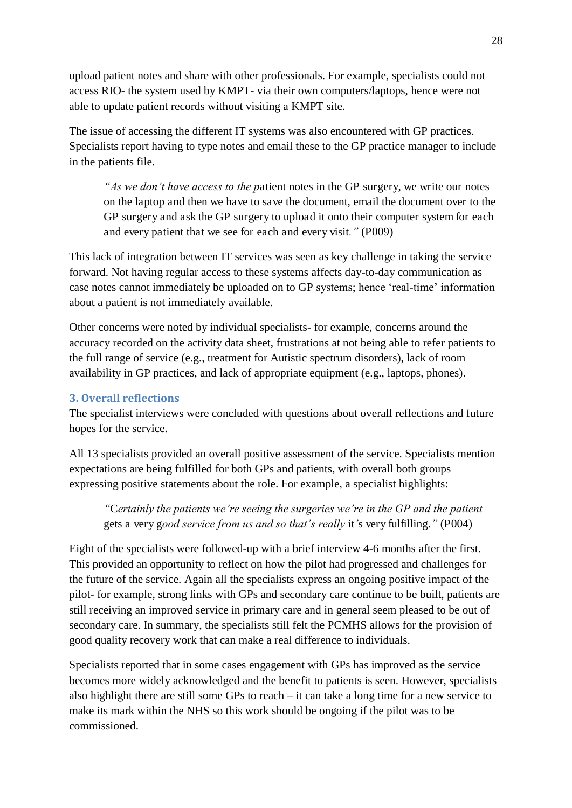upload patient notes and share with other professionals. For example, specialists could not access RIO- the system used by KMPT- via their own computers/laptops, hence were not able to update patient records without visiting a KMPT site.

The issue of accessing the different IT systems was also encountered with GP practices. Specialists report having to type notes and email these to the GP practice manager to include in the patients file.

*"As we don't have access to the p*atient notes in the GP surgery, we write our notes on the laptop and then we have to save the document, email the document over to the GP surgery and ask the GP surgery to upload it onto their computer system for each and every patient that we see for each and every visit*."* (P009)

This lack of integration between IT services was seen as key challenge in taking the service forward. Not having regular access to these systems affects day-to-day communication as case notes cannot immediately be uploaded on to GP systems; hence 'real-time' information about a patient is not immediately available.

Other concerns were noted by individual specialists- for example, concerns around the accuracy recorded on the activity data sheet, frustrations at not being able to refer patients to the full range of service (e.g., treatment for Autistic spectrum disorders), lack of room availability in GP practices, and lack of appropriate equipment (e.g., laptops, phones).

# **3. Overall reflections**

<span id="page-28-0"></span>The specialist interviews were concluded with questions about overall reflections and future hopes for the service.

All 13 specialists provided an overall positive assessment of the service. Specialists mention expectations are being fulfilled for both GPs and patients, with overall both groups expressing positive statements about the role. For example, a specialist highlights:

*"*C*ertainly the patients we're seeing the surgeries we're in the GP and the patient*  gets a very g*ood service from us and so that's really* it*'*s very fulfilling.*"* (P004)

Eight of the specialists were followed-up with a brief interview 4-6 months after the first. This provided an opportunity to reflect on how the pilot had progressed and challenges for the future of the service. Again all the specialists express an ongoing positive impact of the pilot- for example, strong links with GPs and secondary care continue to be built, patients are still receiving an improved service in primary care and in general seem pleased to be out of secondary care. In summary, the specialists still felt the PCMHS allows for the provision of good quality recovery work that can make a real difference to individuals.

Specialists reported that in some cases engagement with GPs has improved as the service becomes more widely acknowledged and the benefit to patients is seen. However, specialists also highlight there are still some GPs to reach – it can take a long time for a new service to make its mark within the NHS so this work should be ongoing if the pilot was to be commissioned.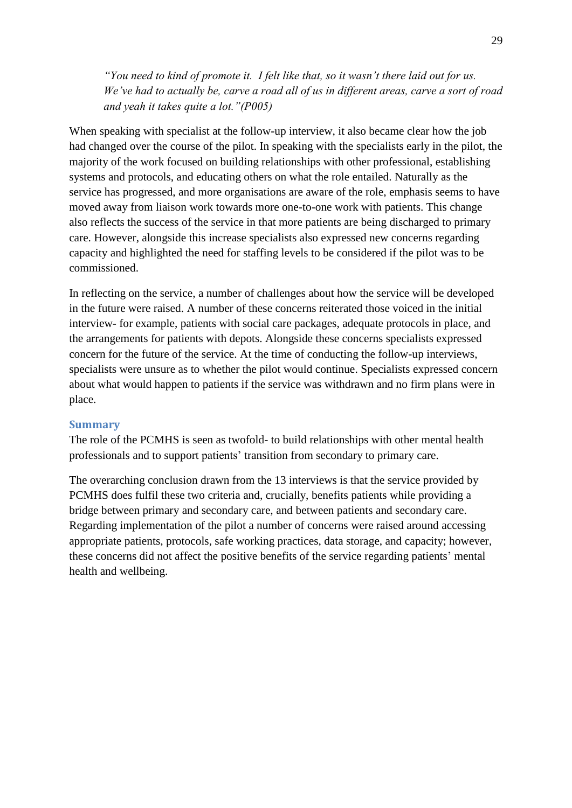<span id="page-29-0"></span>*"You need to kind of promote it. I felt like that, so it wasn't there laid out for us. We've had to actually be, carve a road all of us in different areas, carve a sort of road and yeah it takes quite a lot."(P005)*

<span id="page-29-1"></span>When speaking with specialist at the follow-up interview, it also became clear how the job had changed over the course of the pilot. In speaking with the specialists early in the pilot, the majority of the work focused on building relationships with other professional, establishing systems and protocols, and educating others on what the role entailed. Naturally as the service has progressed, and more organisations are aware of the role, emphasis seems to have moved away from liaison work towards more one-to-one work with patients. This change also reflects the success of the service in that more patients are being discharged to primary care. However, alongside this increase specialists also expressed new concerns regarding capacity and highlighted the need for staffing levels to be considered if the pilot was to be commissioned.

<span id="page-29-2"></span>In reflecting on the service, a number of challenges about how the service will be developed in the future were raised. A number of these concerns reiterated those voiced in the initial interview- for example, patients with social care packages, adequate protocols in place, and the arrangements for patients with depots. Alongside these concerns specialists expressed concern for the future of the service. At the time of conducting the follow-up interviews, specialists were unsure as to whether the pilot would continue. Specialists expressed concern about what would happen to patients if the service was withdrawn and no firm plans were in place.

#### **Summary**

The role of the PCMHS is seen as twofold- to build relationships with other mental health professionals and to support patients' transition from secondary to primary care.

<span id="page-29-3"></span>The overarching conclusion drawn from the 13 interviews is that the service provided by PCMHS does fulfil these two criteria and, crucially, benefits patients while providing a bridge between primary and secondary care, and between patients and secondary care. Regarding implementation of the pilot a number of concerns were raised around accessing appropriate patients, protocols, safe working practices, data storage, and capacity; however, these concerns did not affect the positive benefits of the service regarding patients' mental health and wellbeing.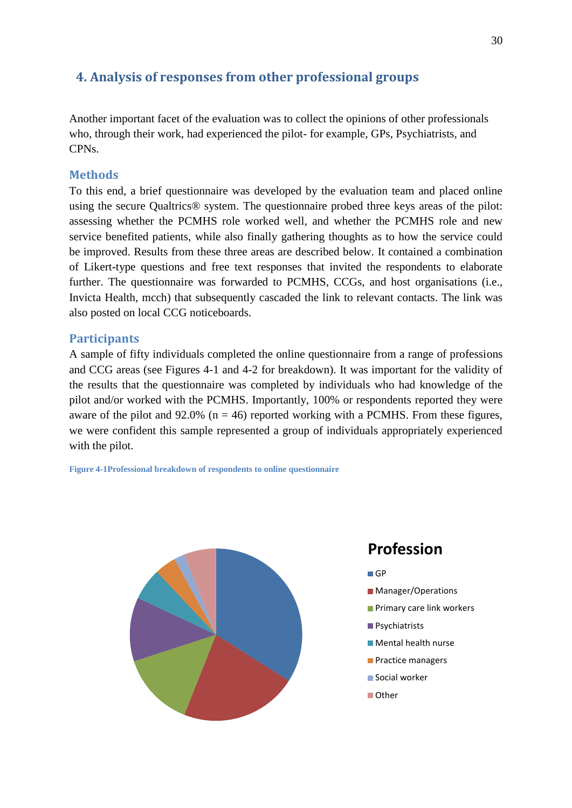# <span id="page-30-2"></span>**4. Analysis of responses from other professional groups**

Another important facet of the evaluation was to collect the opinions of other professionals who, through their work, had experienced the pilot- for example, GPs, Psychiatrists, and CPNs.

# **Methods**

To this end, a brief questionnaire was developed by the evaluation team and placed online using the secure Qualtrics® system. The questionnaire probed three keys areas of the pilot: assessing whether the PCMHS role worked well, and whether the PCMHS role and new service benefited patients, while also finally gathering thoughts as to how the service could be improved. Results from these three areas are described below. It contained a combination of Likert-type questions and free text responses that invited the respondents to elaborate further. The questionnaire was forwarded to PCMHS, CCGs, and host organisations (i.e., Invicta Health, mcch) that subsequently cascaded the link to relevant contacts. The link was also posted on local CCG noticeboards.

# **Participants**

A sample of fifty individuals completed the online questionnaire from a range of professions and CCG areas (see Figures 4-1 and 4-2 for breakdown). It was important for the validity of the results that the questionnaire was completed by individuals who had knowledge of the pilot and/or worked with the PCMHS. Importantly, 100% or respondents reported they were aware of the pilot and  $92.0\%$  (n = 46) reported working with a PCMHS. From these figures, we were confident this sample represented a group of individuals appropriately experienced with the pilot.

<span id="page-30-3"></span><span id="page-30-1"></span><span id="page-30-0"></span>**Figure 4-1Professional breakdown of respondents to online questionnaire** 



# **Profession**

**GP** 

- **Manager/Operations**
- **Primary care link workers**
- **Psychiatrists**
- **Mental health nurse**
- **Practice managers**
- Social worker
- Other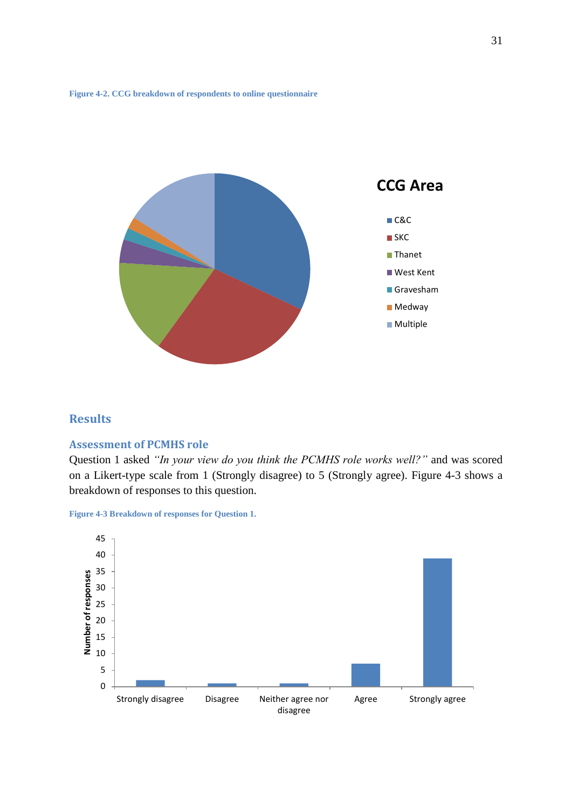**Figure 4-2. CCG breakdown of respondents to online questionnaire** 



# **Results**

### **Assessment of PCMHS role**

Question 1 asked *"In your view do you think the PCMHS role works well?"* and was scored on a Likert-type scale from 1 (Strongly disagree) to 5 (Strongly agree). Figure 4-3 shows a breakdown of responses to this question.

**Figure 4-3 Breakdown of responses for Question 1.** 

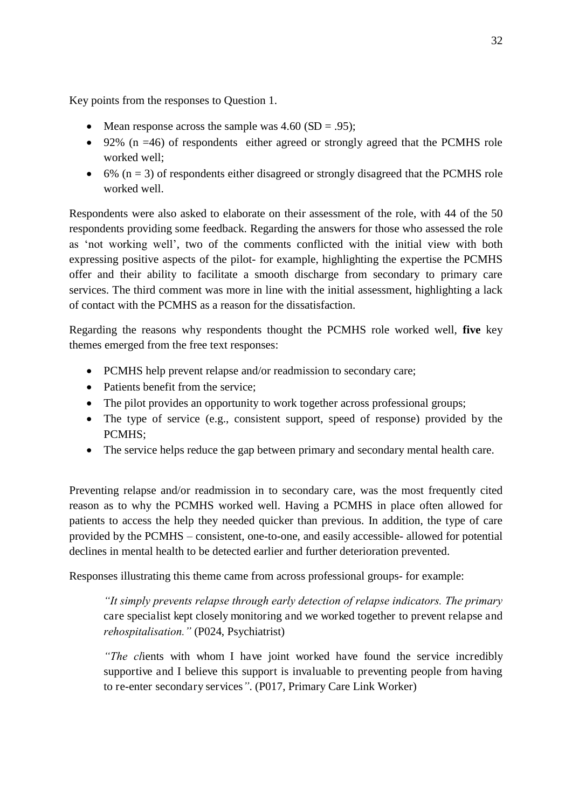Key points from the responses to Question 1.

- Mean response across the sample was  $4.60$  (SD = .95);
- $\bullet$  92% (n =46) of respondents either agreed or strongly agreed that the PCMHS role worked well;
- $\bullet$  6% (n = 3) of respondents either disagreed or strongly disagreed that the PCMHS role worked well.

Respondents were also asked to elaborate on their assessment of the role, with 44 of the 50 respondents providing some feedback. Regarding the answers for those who assessed the role as 'not working well', two of the comments conflicted with the initial view with both expressing positive aspects of the pilot- for example, highlighting the expertise the PCMHS offer and their ability to facilitate a smooth discharge from secondary to primary care services. The third comment was more in line with the initial assessment, highlighting a lack of contact with the PCMHS as a reason for the dissatisfaction.

Regarding the reasons why respondents thought the PCMHS role worked well, **five** key themes emerged from the free text responses:

- PCMHS help prevent relapse and/or readmission to secondary care;
- Patients benefit from the service:
- The pilot provides an opportunity to work together across professional groups;
- The type of service (e.g., consistent support, speed of response) provided by the PCMHS;
- The service helps reduce the gap between primary and secondary mental health care.

Preventing relapse and/or readmission in to secondary care, was the most frequently cited reason as to why the PCMHS worked well. Having a PCMHS in place often allowed for patients to access the help they needed quicker than previous. In addition, the type of care provided by the PCMHS – consistent, one-to-one, and easily accessible- allowed for potential declines in mental health to be detected earlier and further deterioration prevented.

Responses illustrating this theme came from across professional groups- for example:

*"It simply prevents relapse through early detection of relapse indicators. The primary*  care specialist kept closely monitoring and we worked together to prevent relapse and *rehospitalisation."* (P024, Psychiatrist)

*"The cl*ients with whom I have joint worked have found the service incredibly supportive and I believe this support is invaluable to preventing people from having to re-enter secondary services*"*. (P017, Primary Care Link Worker)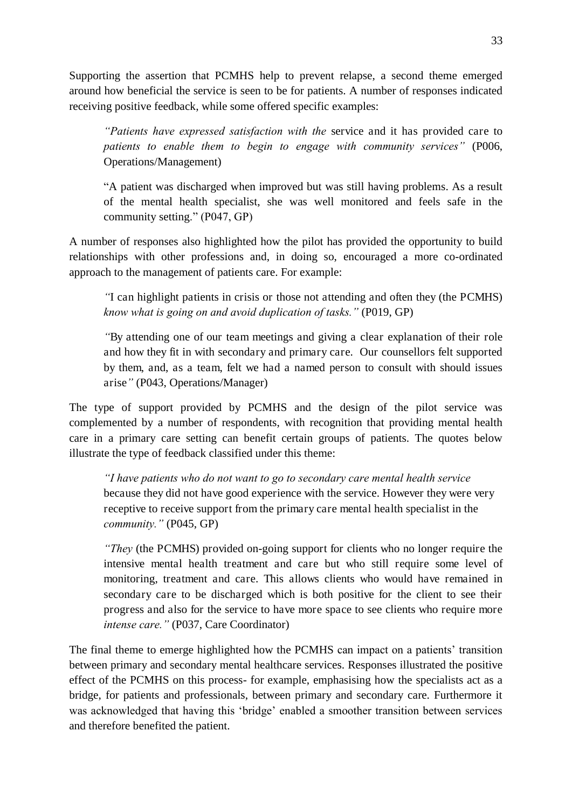Supporting the assertion that PCMHS help to prevent relapse, a second theme emerged around how beneficial the service is seen to be for patients. A number of responses indicated receiving positive feedback, while some offered specific examples:

<span id="page-33-0"></span>*"Patients have expressed satisfaction with the* service and it has provided care to *patients to enable them to begin to engage with community services"* (P006, Operations/Management)

"A patient was discharged when improved but was still having problems. As a result of the mental health specialist, she was well monitored and feels safe in the community setting." (P047, GP)

<span id="page-33-1"></span>A number of responses also highlighted how the pilot has provided the opportunity to build relationships with other professions and, in doing so, encouraged a more co-ordinated approach to the management of patients care. For example:

*"*I can highlight patients in crisis or those not attending and often they (the PCMHS) *know what is going on and avoid duplication of tasks."* (P019, GP)

*"*By attending one of our team meetings and giving a clear explanation of their role and how they fit in with secondary and primary care. Our counsellors felt supported by them, and, as a team, felt we had a named person to consult with should issues arise*"* (P043, Operations/Manager)

The type of support provided by PCMHS and the design of the pilot service was complemented by a number of respondents, with recognition that providing mental health care in a primary care setting can benefit certain groups of patients. The quotes below illustrate the type of feedback classified under this theme:

*"I have patients who do not want to go to secondary care mental health service*  because they did not have good experience with the service. However they were very receptive to receive support from the primary care mental health specialist in the *community."* (P045, GP)

*"They* (the PCMHS) provided on-going support for clients who no longer require the intensive mental health treatment and care but who still require some level of monitoring, treatment and care. This allows clients who would have remained in secondary care to be discharged which is both positive for the client to see their progress and also for the service to have more space to see clients who require more *intense care."* (P037, Care Coordinator)

The final theme to emerge highlighted how the PCMHS can impact on a patients' transition between primary and secondary mental healthcare services. Responses illustrated the positive effect of the PCMHS on this process- for example, emphasising how the specialists act as a bridge, for patients and professionals, between primary and secondary care. Furthermore it was acknowledged that having this 'bridge' enabled a smoother transition between services and therefore benefited the patient.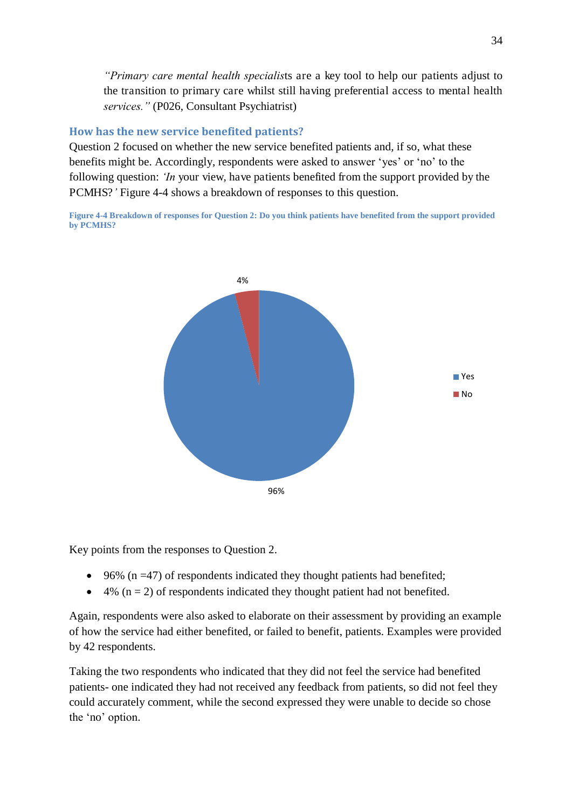*"Primary care mental health specialis*ts are a key tool to help our patients adjust to the transition to primary care whilst still having preferential access to mental health *services."* (P026, Consultant Psychiatrist)

# **How has the new service benefited patients?**

Question 2 focused on whether the new service benefited patients and, if so, what these benefits might be. Accordingly, respondents were asked to answer 'yes' or 'no' to the following question: *'In* your view, have patients benefited from the support provided by the PCMHS?*'* Figure 4-4 shows a breakdown of responses to this question.

**Figure 4-4 Breakdown of responses for Question 2: Do you think patients have benefited from the support provided by PCMHS?** 



Key points from the responses to Question 2.

- $\bullet$  96% (n =47) of respondents indicated they thought patients had benefited;
- $\bullet$  4% (n = 2) of respondents indicated they thought patient had not benefited.

Again, respondents were also asked to elaborate on their assessment by providing an example of how the service had either benefited, or failed to benefit, patients. Examples were provided by 42 respondents.

Taking the two respondents who indicated that they did not feel the service had benefited patients- one indicated they had not received any feedback from patients, so did not feel they could accurately comment, while the second expressed they were unable to decide so chose the 'no' option.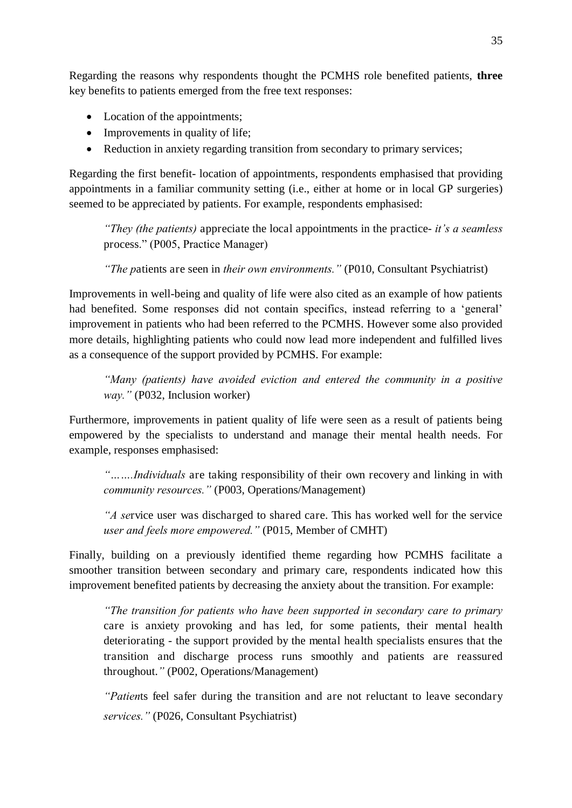<span id="page-35-0"></span>Regarding the reasons why respondents thought the PCMHS role benefited patients, **three**  key benefits to patients emerged from the free text responses:

- Location of the appointments;
- Improvements in quality of life;
- Reduction in anxiety regarding transition from secondary to primary services;

<span id="page-35-1"></span>Regarding the first benefit- location of appointments, respondents emphasised that providing appointments in a familiar community setting (i.e., either at home or in local GP surgeries) seemed to be appreciated by patients. For example, respondents emphasised:

*"They (the patients)* appreciate the local appointments in the practice- *it's a seamless*  process." (P005, Practice Manager)

*"The p*atients are seen in *their own environments."* (P010, Consultant Psychiatrist)

Improvements in well-being and quality of life were also cited as an example of how patients had benefited. Some responses did not contain specifics, instead referring to a 'general' improvement in patients who had been referred to the PCMHS. However some also provided more details, highlighting patients who could now lead more independent and fulfilled lives as a consequence of the support provided by PCMHS. For example:

*"Many (patients) have avoided eviction and entered the community in a positive way."* (P032, Inclusion worker)

Furthermore, improvements in patient quality of life were seen as a result of patients being empowered by the specialists to understand and manage their mental health needs. For example, responses emphasised:

*"…….Individuals* are taking responsibility of their own recovery and linking in with *community resources."* (P003, Operations/Management)

*"A se*rvice user was discharged to shared care. This has worked well for the service *user and feels more empowered."* (P015, Member of CMHT)

Finally, building on a previously identified theme regarding how PCMHS facilitate a smoother transition between secondary and primary care, respondents indicated how this improvement benefited patients by decreasing the anxiety about the transition. For example:

*"The transition for patients who have been supported in secondary care to primary*  care is anxiety provoking and has led, for some patients, their mental health deteriorating - the support provided by the mental health specialists ensures that the transition and discharge process runs smoothly and patients are reassured throughout.*"* (P002, Operations/Management)

*"Patien*ts feel safer during the transition and are not reluctant to leave secondary *services."* (P026, Consultant Psychiatrist)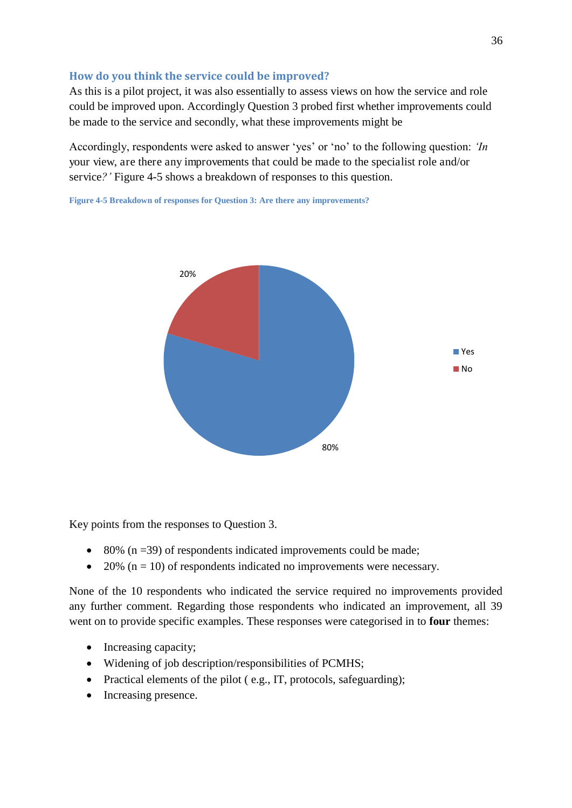# **How do you think the service could be improved?**

As this is a pilot project, it was also essentially to assess views on how the service and role could be improved upon. Accordingly Question 3 probed first whether improvements could be made to the service and secondly, what these improvements might be

Accordingly, respondents were asked to answer 'yes' or 'no' to the following question: *'In* your view, are there any improvements that could be made to the specialist role and/or service*?'* Figure 4-5 shows a breakdown of responses to this question.



**Figure 4-5 Breakdown of responses for Question 3: Are there any improvements?** 

Key points from the responses to Question 3.

- $\bullet$  80% (n = 39) of respondents indicated improvements could be made;
- 20% ( $n = 10$ ) of respondents indicated no improvements were necessary.

None of the 10 respondents who indicated the service required no improvements provided any further comment. Regarding those respondents who indicated an improvement, all 39 went on to provide specific examples. These responses were categorised in to **four** themes:

- Increasing capacity;
- Widening of job description/responsibilities of PCMHS;
- Practical elements of the pilot ( e.g., IT, protocols, safeguarding);
- Increasing presence.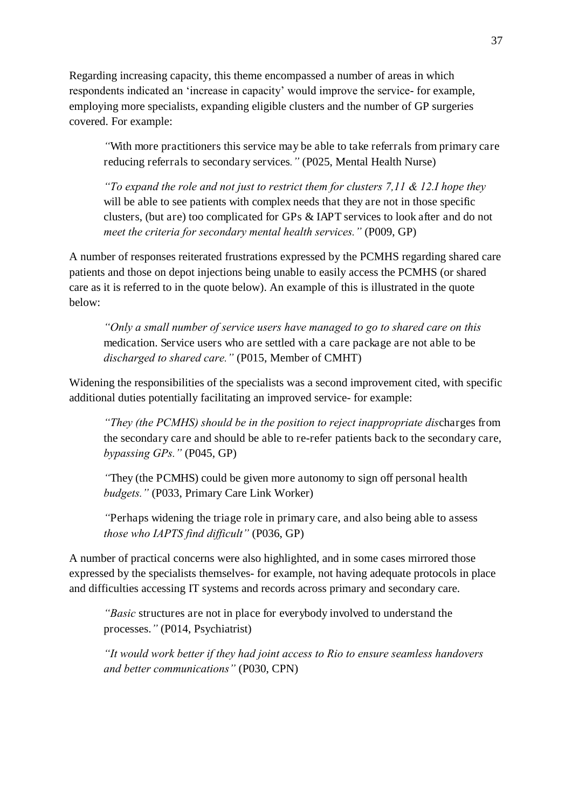Regarding increasing capacity, this theme encompassed a number of areas in which respondents indicated an 'increase in capacity' would improve the service- for example, employing more specialists, expanding eligible clusters and the number of GP surgeries covered. For example:

*"*With more practitioners this service may be able to take referrals from primary care reducing referrals to secondary services*."* (P025, Mental Health Nurse)

*"To expand the role and not just to restrict them for clusters 7,11 & 12.I hope they*  will be able to see patients with complex needs that they are not in those specific clusters, (but are) too complicated for GPs & IAPT services to look after and do not *meet the criteria for secondary mental health services."* (P009, GP)

A number of responses reiterated frustrations expressed by the PCMHS regarding shared care patients and those on depot injections being unable to easily access the PCMHS (or shared care as it is referred to in the quote below). An example of this is illustrated in the quote below:

*"Only a small number of service users have managed to go to shared care on this*  medication. Service users who are settled with a care package are not able to be *discharged to shared care."* (P015, Member of CMHT)

Widening the responsibilities of the specialists was a second improvement cited, with specific additional duties potentially facilitating an improved service- for example:

*"They (the PCMHS) should be in the position to reject inappropriate dis*charges from the secondary care and should be able to re-refer patients back to the secondary care, *bypassing GPs."* (P045, GP)

*"*They (the PCMHS) could be given more autonomy to sign off personal health *budgets."* (P033, Primary Care Link Worker)

*"*Perhaps widening the triage role in primary care, and also being able to assess *those who IAPTS find difficult"* (P036, GP)

A number of practical concerns were also highlighted, and in some cases mirrored those expressed by the specialists themselves- for example, not having adequate protocols in place and difficulties accessing IT systems and records across primary and secondary care.

*"Basic* structures are not in place for everybody involved to understand the processes.*"* (P014, Psychiatrist)

*"It would work better if they had joint access to Rio to ensure seamless handovers and better communications"* (P030, CPN)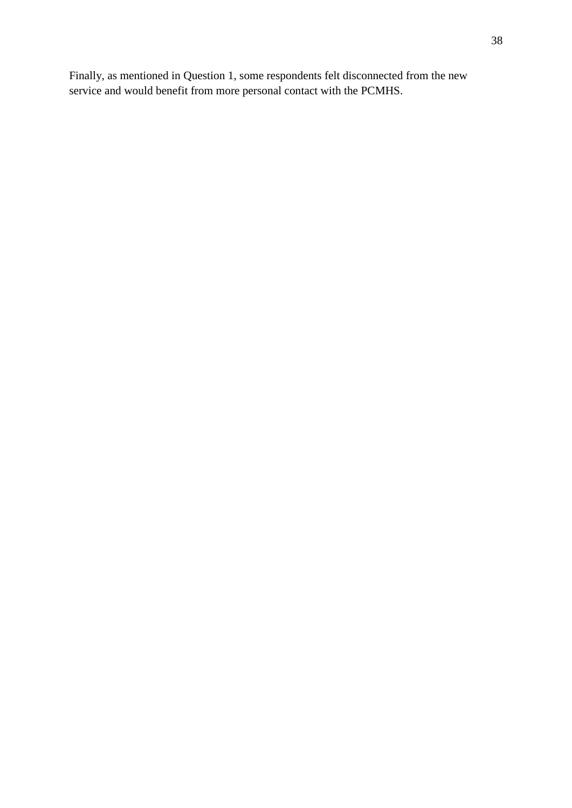<span id="page-38-1"></span><span id="page-38-0"></span>Finally, as mentioned in Question 1, some respondents felt disconnected from the new service and would benefit from more personal contact with the PCMHS.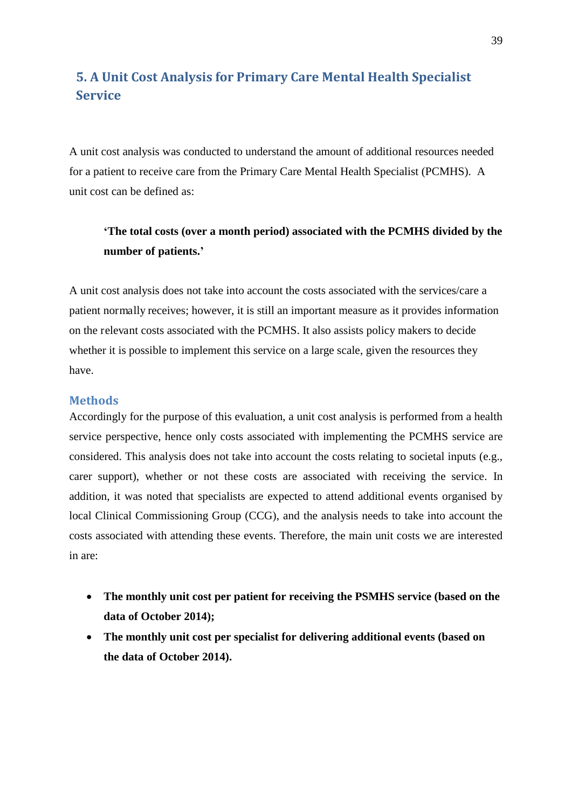# <span id="page-39-0"></span>**5. A Unit Cost Analysis for Primary Care Mental Health Specialist Service**

A unit cost analysis was conducted to understand the amount of additional resources needed for a patient to receive care from the Primary Care Mental Health Specialist (PCMHS). A unit cost can be defined as:

# **'The total costs (over a month period) associated with the PCMHS divided by the number of patients.'**

A unit cost analysis does not take into account the costs associated with the services/care a patient normally receives; however, it is still an important measure as it provides information on the relevant costs associated with the PCMHS. It also assists policy makers to decide whether it is possible to implement this service on a large scale, given the resources they have.

#### **Methods**

<span id="page-39-1"></span>Accordingly for the purpose of this evaluation, a unit cost analysis is performed from a health service perspective, hence only costs associated with implementing the PCMHS service are considered. This analysis does not take into account the costs relating to societal inputs (e.g., carer support), whether or not these costs are associated with receiving the service. In addition, it was noted that specialists are expected to attend additional events organised by local Clinical Commissioning Group (CCG), and the analysis needs to take into account the costs associated with attending these events. Therefore, the main unit costs we are interested in are:

- **The monthly unit cost per patient for receiving the PSMHS service (based on the data of October 2014);**
- **The monthly unit cost per specialist for delivering additional events (based on the data of October 2014).**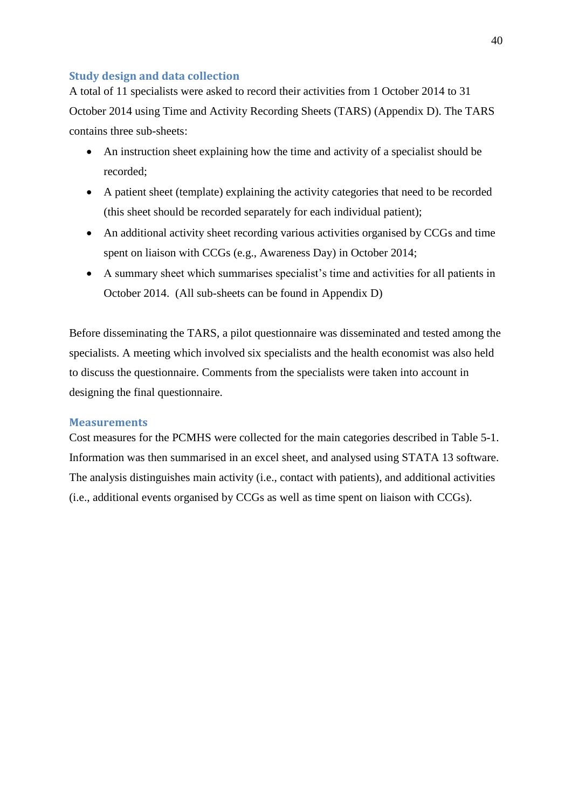# <span id="page-40-1"></span>**Study design and data collection**

A total of 11 specialists were asked to record their activities from 1 October 2014 to 31 October 2014 using Time and Activity Recording Sheets (TARS) (Appendix D). The TARS contains three sub-sheets:

- An instruction sheet explaining how the time and activity of a specialist should be recorded;
- A patient sheet (template) explaining the activity categories that need to be recorded (this sheet should be recorded separately for each individual patient);
- An additional activity sheet recording various activities organised by CCGs and time spent on liaison with CCGs (e.g., Awareness Day) in October 2014;
- A summary sheet which summarises specialist's time and activities for all patients in October 2014. (All sub-sheets can be found in Appendix D)

Before disseminating the TARS, a pilot questionnaire was disseminated and tested among the specialists. A meeting which involved six specialists and the health economist was also held to discuss the questionnaire. Comments from the specialists were taken into account in designing the final questionnaire.

## **Measurements**

<span id="page-40-0"></span>Cost measures for the PCMHS were collected for the main categories described in Table 5-1. Information was then summarised in an excel sheet, and analysed using STATA 13 software. The analysis distinguishes main activity (i.e., contact with patients), and additional activities (i.e., additional events organised by CCGs as well as time spent on liaison with CCGs).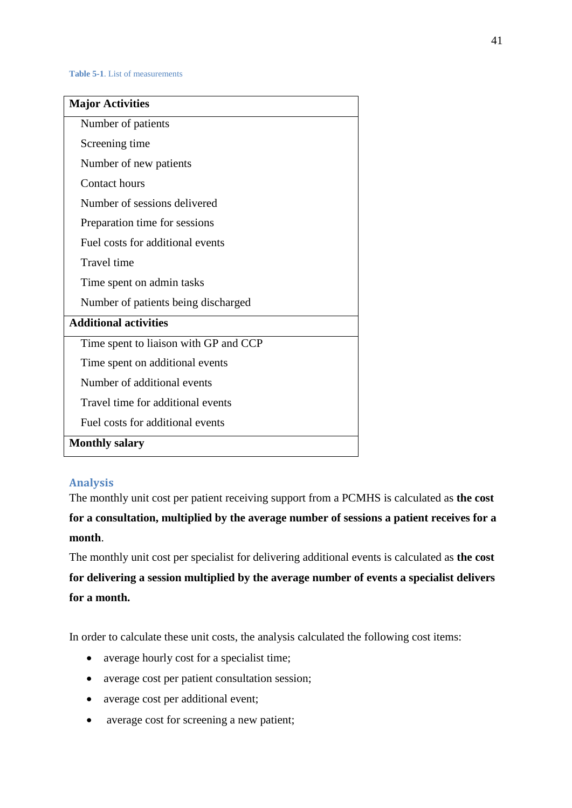**Table 5-1**. List of measurements

<span id="page-41-0"></span>

| <b>Major Activities</b>               |
|---------------------------------------|
| Number of patients                    |
| Screening time                        |
| Number of new patients                |
| Contact hours                         |
| Number of sessions delivered          |
| Preparation time for sessions         |
| Fuel costs for additional events      |
| Travel time                           |
| Time spent on admin tasks             |
| Number of patients being discharged   |
| <b>Additional activities</b>          |
| Time spent to liaison with GP and CCP |
| Time spent on additional events       |
| Number of additional events           |
| Travel time for additional events     |
| Fuel costs for additional events      |
| <b>Monthly salary</b>                 |

## <span id="page-41-1"></span>**Analysis**

The monthly unit cost per patient receiving support from a PCMHS is calculated as **the cost for a consultation, multiplied by the average number of sessions a patient receives for a month**.

The monthly unit cost per specialist for delivering additional events is calculated as **the cost for delivering a session multiplied by the average number of events a specialist delivers for a month.** 

In order to calculate these unit costs, the analysis calculated the following cost items:

- average hourly cost for a specialist time;
- average cost per patient consultation session;
- average cost per additional event;
- average cost for screening a new patient;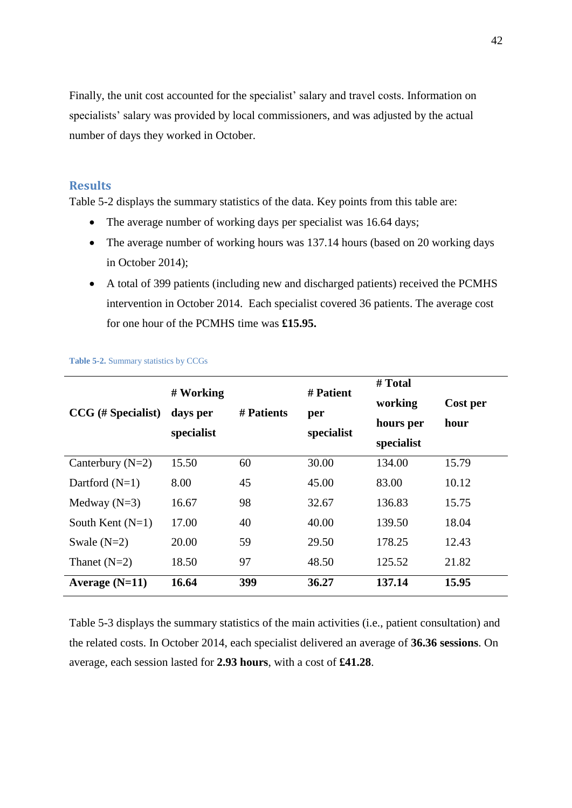<span id="page-42-1"></span>Finally, the unit cost accounted for the specialist' salary and travel costs. Information on specialists' salary was provided by local commissioners, and was adjusted by the actual number of days they worked in October.

# **Results**

Table 5-2 displays the summary statistics of the data. Key points from this table are:

- The average number of working days per specialist was 16.64 days;
- The average number of working hours was 137.14 hours (based on 20 working days in October 2014);
- A total of 399 patients (including new and discharged patients) received the PCMHS intervention in October 2014. Each specialist covered 36 patients. The average cost for one hour of the PCMHS time was **£15.95.**

|                    | # Working  |            | # Patient  | # Total    |          |
|--------------------|------------|------------|------------|------------|----------|
| CCG (# Specialist) | days per   | # Patients | per        | working    | Cost per |
|                    |            |            |            | hours per  | hour     |
|                    | specialist |            | specialist | specialist |          |
| Canterbury $(N=2)$ | 15.50      | 60         | 30.00      | 134.00     | 15.79    |
| Dartford $(N=1)$   | 8.00       | 45         | 45.00      | 83.00      | 10.12    |
| Medway $(N=3)$     | 16.67      | 98         | 32.67      | 136.83     | 15.75    |
| South Kent $(N=1)$ | 17.00      | 40         | 40.00      | 139.50     | 18.04    |
| Swale $(N=2)$      | 20.00      | 59         | 29.50      | 178.25     | 12.43    |
| Thanet $(N=2)$     | 18.50      | 97         | 48.50      | 125.52     | 21.82    |
| Average $(N=11)$   | 16.64      | 399        | 36.27      | 137.14     | 15.95    |

<span id="page-42-0"></span>**Table 5-2.** Summary statistics by CCGs

Table 5-3 displays the summary statistics of the main activities (i.e., patient consultation) and the related costs. In October 2014, each specialist delivered an average of **36.36 sessions**. On average, each session lasted for **2.93 hours**, with a cost of **£41.28**.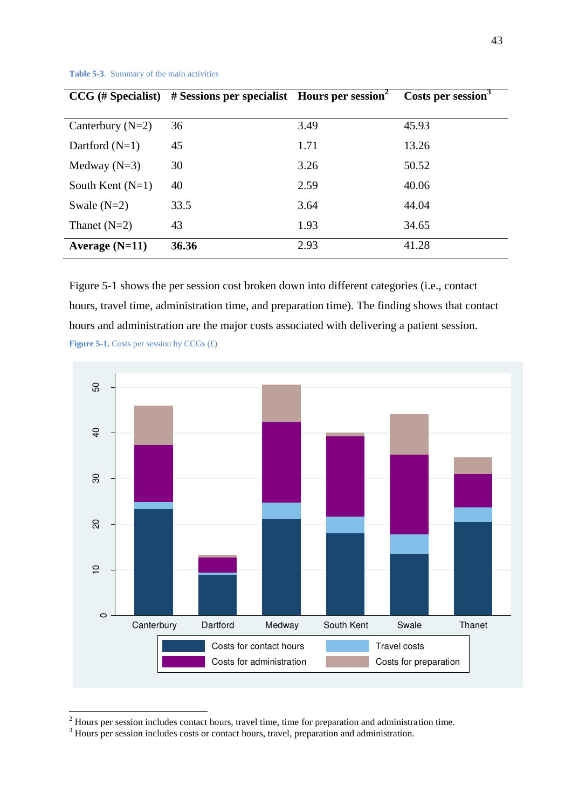<span id="page-43-0"></span>

| $CCG$ (# Specialist) | # Sessions per specialist Hours per session |      | Costs per session <sup>3</sup> |
|----------------------|---------------------------------------------|------|--------------------------------|
|                      |                                             |      |                                |
| Canterbury $(N=2)$   | 36                                          | 3.49 | 45.93                          |
| Dartford $(N=1)$     | 45                                          | 1.71 | 13.26                          |
| Medway $(N=3)$       | 30                                          | 3.26 | 50.52                          |
| South Kent $(N=1)$   | 40                                          | 2.59 | 40.06                          |
| Swale $(N=2)$        | 33.5                                        | 3.64 | 44.04                          |
| Thanet $(N=2)$       | 43                                          | 1.93 | 34.65                          |
| Average $(N=11)$     | 36.36                                       | 2.93 | 41.28                          |

**Table 5-3**. Summary of the main activities

Figure 5-1 shows the per session cost broken down into different categories (i.e., contact hours, travel time, administration time, and preparation time). The finding shows that contact hours and administration are the major costs associated with delivering a patient session. **Figure 5-1.** Costs per session by CCGs  $(f)$ 

<span id="page-43-1"></span>

<sup>&</sup>lt;sup>2</sup> Hours per session includes contact hours, travel time, time for preparation and administration time.<br><sup>3</sup> Hours per session includes costs or contact hours, travel, preparation and administration.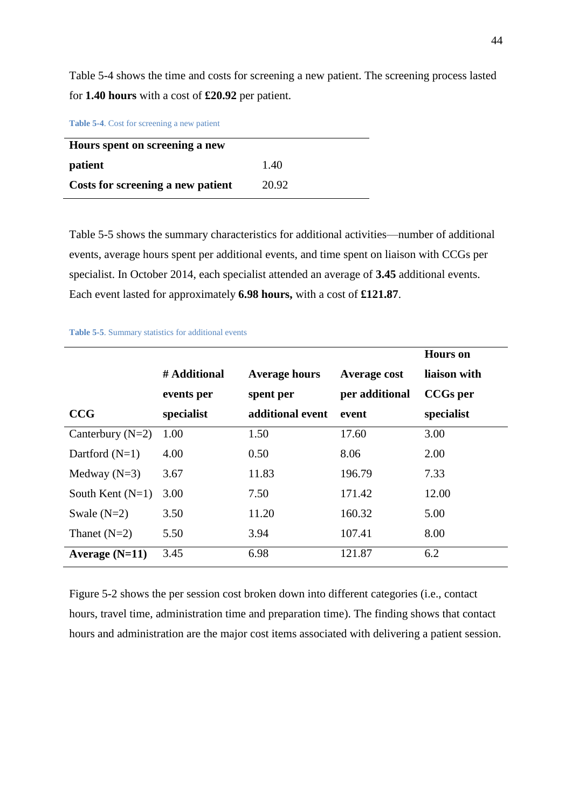<span id="page-44-0"></span>Table 5-4 shows the time and costs for screening a new patient. The screening process lasted for **1.40 hours** with a cost of **£20.92** per patient.

**Table 5-4**. Cost for screening a new patient

| Hours spent on screening a new    |       |  |  |
|-----------------------------------|-------|--|--|
| patient                           | 1.40  |  |  |
| Costs for screening a new patient | 20.92 |  |  |

Table 5-5 shows the summary characteristics for additional activities—number of additional events, average hours spent per additional events, and time spent on liaison with CCGs per specialist. In October 2014, each specialist attended an average of **3.45** additional events. Each event lasted for approximately **6.98 hours,** with a cost of **£121.87**.

|                    |              |                      |                     | <b>Hours</b> on |
|--------------------|--------------|----------------------|---------------------|-----------------|
|                    | # Additional | <b>Average hours</b> | <b>Average cost</b> | liaison with    |
|                    | events per   | spent per            | per additional      | <b>CCGs</b> per |
| <b>CCG</b>         | specialist   | additional event     | event               | specialist      |
| Canterbury $(N=2)$ | 1.00         | 1.50                 | 17.60               | 3.00            |
| Dartford $(N=1)$   | 4.00         | 0.50                 | 8.06                | 2.00            |
| Medway $(N=3)$     | 3.67         | 11.83                | 196.79              | 7.33            |
| South Kent $(N=1)$ | 3.00         | 7.50                 | 171.42              | 12.00           |
| Swale $(N=2)$      | 3.50         | 11.20                | 160.32              | 5.00            |
| Thanet $(N=2)$     | 5.50         | 3.94                 | 107.41              | 8.00            |
| Average $(N=11)$   | 3.45         | 6.98                 | 121.87              | 6.2             |

**Table 5-5**. Summary statistics for additional events

Figure 5-2 shows the per session cost broken down into different categories (i.e., contact hours, travel time, administration time and preparation time). The finding shows that contact hours and administration are the major cost items associated with delivering a patient session.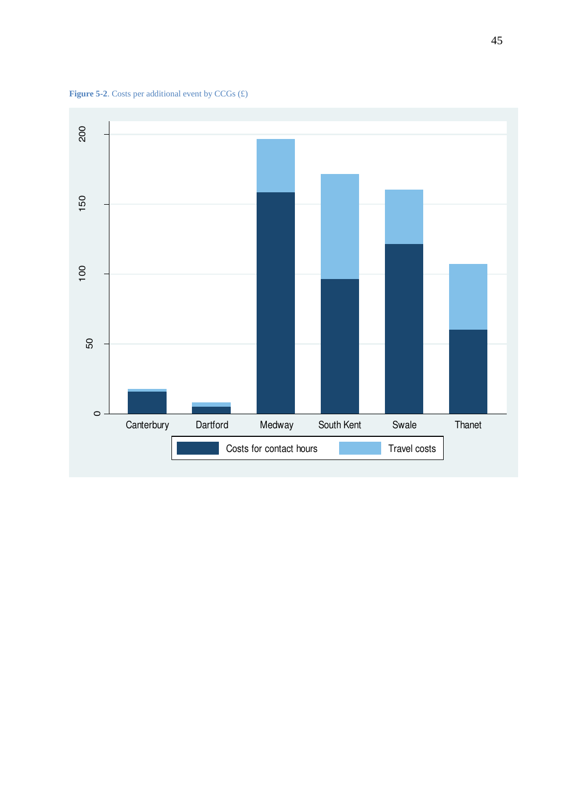

<span id="page-45-1"></span><span id="page-45-0"></span>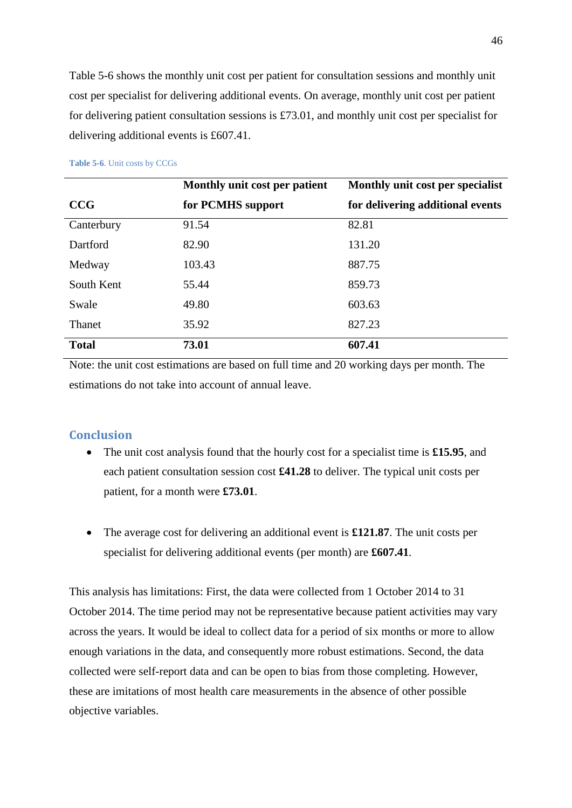<span id="page-46-1"></span><span id="page-46-0"></span>Table 5-6 shows the monthly unit cost per patient for consultation sessions and monthly unit cost per specialist for delivering additional events. On average, monthly unit cost per patient for delivering patient consultation sessions is £73.01, and monthly unit cost per specialist for delivering additional events is £607.41.

<span id="page-46-3"></span><span id="page-46-2"></span>

|               | Monthly unit cost per patient | Monthly unit cost per specialist |  |  |
|---------------|-------------------------------|----------------------------------|--|--|
| CCG           | for PCMHS support             | for delivering additional events |  |  |
| Canterbury    | 91.54                         | 82.81                            |  |  |
| Dartford      | 82.90                         | 131.20                           |  |  |
| Medway        | 103.43                        | 887.75                           |  |  |
| South Kent    | 55.44                         | 859.73                           |  |  |
| Swale         | 49.80                         | 603.63                           |  |  |
| <b>Thanet</b> | 35.92                         | 827.23                           |  |  |
| <b>Total</b>  | 73.01                         | 607.41                           |  |  |

#### **Table 5-6**. Unit costs by CCGs

<span id="page-46-4"></span>Note: the unit cost estimations are based on full time and 20 working days per month. The estimations do not take into account of annual leave.

# **Conclusion**

- The unit cost analysis found that the hourly cost for a specialist time is **£15.95**, and each patient consultation session cost **£41.28** to deliver. The typical unit costs per patient, for a month were **£73.01**.
- The average cost for delivering an additional event is **£121.87**. The unit costs per specialist for delivering additional events (per month) are **£607.41**.

This analysis has limitations: First, the data were collected from 1 October 2014 to 31 October 2014. The time period may not be representative because patient activities may vary across the years. It would be ideal to collect data for a period of six months or more to allow enough variations in the data, and consequently more robust estimations. Second, the data collected were self-report data and can be open to bias from those completing. However, these are imitations of most health care measurements in the absence of other possible objective variables.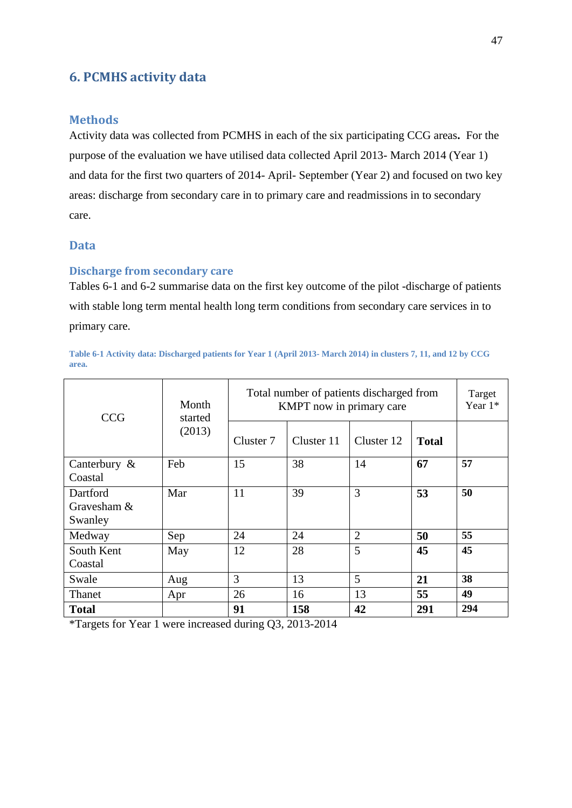# <span id="page-47-0"></span>**6. PCMHS activity data**

### **Methods**

Activity data was collected from PCMHS in each of the six participating CCG areas**.** For the purpose of the evaluation we have utilised data collected April 2013- March 2014 (Year 1) and data for the first two quarters of 2014- April- September (Year 2) and focused on two key areas: discharge from secondary care in to primary care and readmissions in to secondary care.

## **Data**

### **Discharge from secondary care**

Tables 6-1 and 6-2 summarise data on the first key outcome of the pilot -discharge of patients with stable long term mental health long term conditions from secondary care services in to primary care.

#### **Table 6-1 Activity data: Discharged patients for Year 1 (April 2013- March 2014) in clusters 7, 11, and 12 by CCG area.**

| <b>CCG</b>                         | Month<br>started<br>(2013) | Total number of patients discharged from<br>KMPT now in primary care | Target<br>Year $1*$ |                |              |     |
|------------------------------------|----------------------------|----------------------------------------------------------------------|---------------------|----------------|--------------|-----|
|                                    |                            | Cluster 7                                                            | Cluster 11          | Cluster 12     | <b>Total</b> |     |
| Canterbury $\&$<br>Coastal         | Feb                        | 15                                                                   | 38                  | 14             | 67           | 57  |
| Dartford<br>Gravesham &<br>Swanley | Mar                        | 11                                                                   | 39                  | 3              | 53           | 50  |
| Medway                             | Sep                        | 24                                                                   | 24                  | $\overline{2}$ | 50           | 55  |
| South Kent<br>Coastal              | May                        | 12                                                                   | 28                  | 5              | 45           | 45  |
| Swale                              | Aug                        | 3                                                                    | 13                  | 5              | 21           | 38  |
| Thanet                             | Apr                        | 26                                                                   | 16                  | 13             | 55           | 49  |
| <b>Total</b>                       |                            | 91                                                                   | 158                 | 42             | 291          | 294 |

\*Targets for Year 1 were increased during Q3, 2013-2014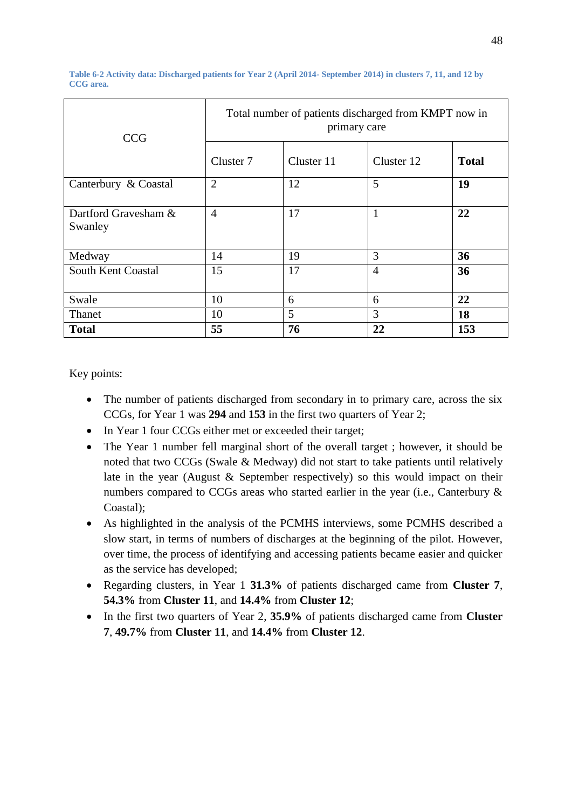<span id="page-48-1"></span>

| <b>CCG</b>                      | Total number of patients discharged from KMPT now in<br>primary care |            |                |              |  |  |  |
|---------------------------------|----------------------------------------------------------------------|------------|----------------|--------------|--|--|--|
|                                 | Cluster 7                                                            | Cluster 11 | Cluster 12     | <b>Total</b> |  |  |  |
| Canterbury & Coastal            | $\overline{2}$                                                       | 12         | 5              | 19           |  |  |  |
| Dartford Gravesham &<br>Swanley | $\overline{4}$                                                       | 17         | $\mathbf{1}$   | 22           |  |  |  |
| Medway                          | 14                                                                   | 19         | 3              | 36           |  |  |  |
| <b>South Kent Coastal</b>       | 15                                                                   | 17         | $\overline{4}$ | 36           |  |  |  |
| Swale                           | 10                                                                   | 6          | 6              | 22           |  |  |  |
| Thanet                          | 10                                                                   | 5          | 3              | 18           |  |  |  |
| <b>Total</b>                    | 55                                                                   | 76         | 22             | 153          |  |  |  |

<span id="page-48-0"></span>**Table 6-2 Activity data: Discharged patients for Year 2 (April 2014- September 2014) in clusters 7, 11, and 12 by CCG area.** 

Key points:

- The number of patients discharged from secondary in to primary care, across the six CCGs, for Year 1 was **294** and **153** in the first two quarters of Year 2;
- In Year 1 four CCGs either met or exceeded their target;
- The Year 1 number fell marginal short of the overall target ; however, it should be noted that two CCGs (Swale & Medway) did not start to take patients until relatively late in the year (August & September respectively) so this would impact on their numbers compared to CCGs areas who started earlier in the year (i.e., Canterbury & Coastal);
- As highlighted in the analysis of the PCMHS interviews, some PCMHS described a slow start, in terms of numbers of discharges at the beginning of the pilot. However, over time, the process of identifying and accessing patients became easier and quicker as the service has developed;
- Regarding clusters, in Year 1 **31.3%** of patients discharged came from **Cluster 7**, **54.3%** from **Cluster 11**, and **14.4%** from **Cluster 12**;
- In the first two quarters of Year 2, **35.9%** of patients discharged came from **Cluster 7**, **49.7%** from **Cluster 11**, and **14.4%** from **Cluster 12**.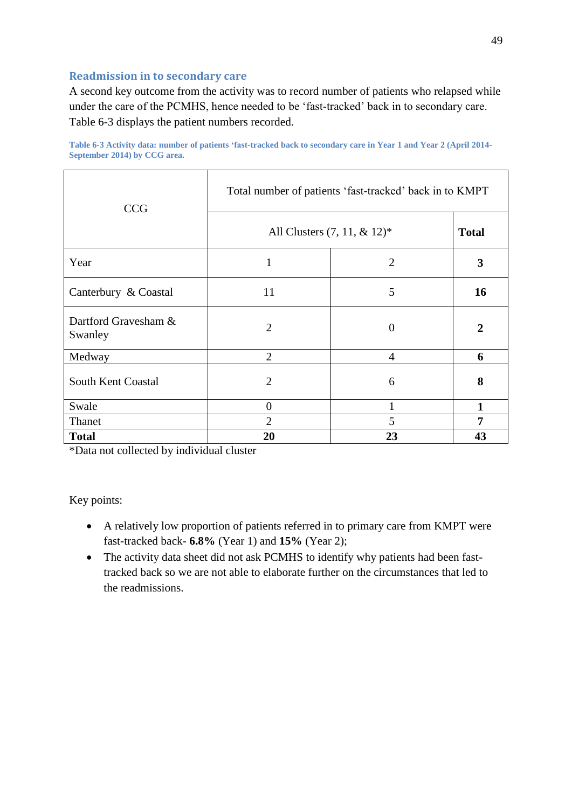## <span id="page-49-0"></span>**Readmission in to secondary care**

A second key outcome from the activity was to record number of patients who relapsed while under the care of the PCMHS, hence needed to be 'fast-tracked' back in to secondary care. Table 6-3 displays the patient numbers recorded.

| <b>CCG</b>                      | Total number of patients 'fast-tracked' back in to KMPT |                |              |  |  |  |
|---------------------------------|---------------------------------------------------------|----------------|--------------|--|--|--|
|                                 | All Clusters $(7, 11, \& 12)^*$                         |                | <b>Total</b> |  |  |  |
| Year                            | 1                                                       | 2              | 3            |  |  |  |
| Canterbury & Coastal            | 11                                                      | 5              | 16           |  |  |  |
| Dartford Gravesham &<br>Swanley | $\overline{2}$                                          | $\theta$       | 2            |  |  |  |
| Medway                          | $\overline{2}$                                          | $\overline{4}$ | 6            |  |  |  |
| South Kent Coastal              | $\overline{2}$                                          | 6              | 8            |  |  |  |
| Swale                           | $\overline{0}$                                          | 1              | $\mathbf{1}$ |  |  |  |
| Thanet                          | $\overline{2}$                                          | 5              | 7            |  |  |  |
| <b>Total</b>                    | 20                                                      | 23             | 43           |  |  |  |

**Table 6-3 Activity data: number of patients 'fast-tracked back to secondary care in Year 1 and Year 2 (April 2014- September 2014) by CCG area.** 

\*Data not collected by individual cluster

Key points:

- A relatively low proportion of patients referred in to primary care from KMPT were fast-tracked back- **6.8%** (Year 1) and **15%** (Year 2);
- The activity data sheet did not ask PCMHS to identify why patients had been fasttracked back so we are not able to elaborate further on the circumstances that led to the readmissions.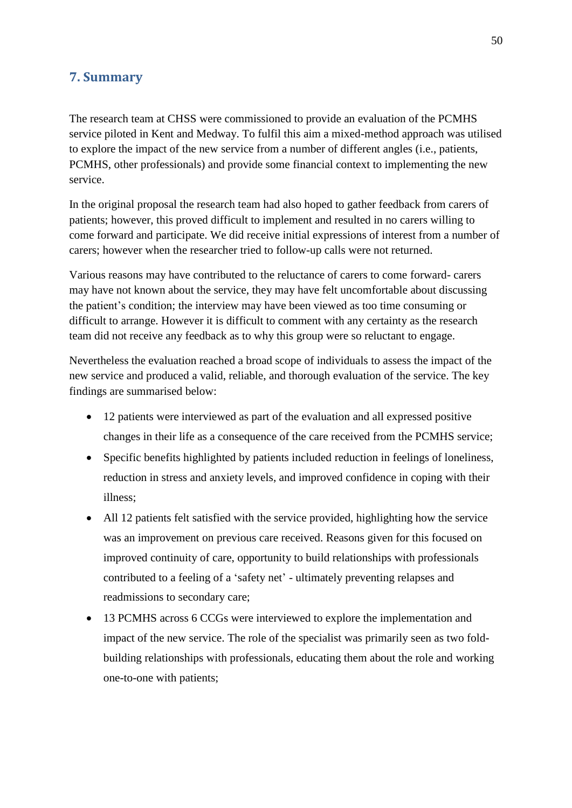# **7. Summary**

The research team at CHSS were commissioned to provide an evaluation of the PCMHS service piloted in Kent and Medway. To fulfil this aim a mixed-method approach was utilised to explore the impact of the new service from a number of different angles (i.e., patients, PCMHS, other professionals) and provide some financial context to implementing the new service.

In the original proposal the research team had also hoped to gather feedback from carers of patients; however, this proved difficult to implement and resulted in no carers willing to come forward and participate. We did receive initial expressions of interest from a number of carers; however when the researcher tried to follow-up calls were not returned.

Various reasons may have contributed to the reluctance of carers to come forward- carers may have not known about the service, they may have felt uncomfortable about discussing the patient's condition; the interview may have been viewed as too time consuming or difficult to arrange. However it is difficult to comment with any certainty as the research team did not receive any feedback as to why this group were so reluctant to engage.

Nevertheless the evaluation reached a broad scope of individuals to assess the impact of the new service and produced a valid, reliable, and thorough evaluation of the service. The key findings are summarised below:

- 12 patients were interviewed as part of the evaluation and all expressed positive changes in their life as a consequence of the care received from the PCMHS service;
- Specific benefits highlighted by patients included reduction in feelings of loneliness, reduction in stress and anxiety levels, and improved confidence in coping with their illness;
- All 12 patients felt satisfied with the service provided, highlighting how the service was an improvement on previous care received. Reasons given for this focused on improved continuity of care, opportunity to build relationships with professionals contributed to a feeling of a 'safety net' - ultimately preventing relapses and readmissions to secondary care;
- 13 PCMHS across 6 CCGs were interviewed to explore the implementation and impact of the new service. The role of the specialist was primarily seen as two foldbuilding relationships with professionals, educating them about the role and working one-to-one with patients;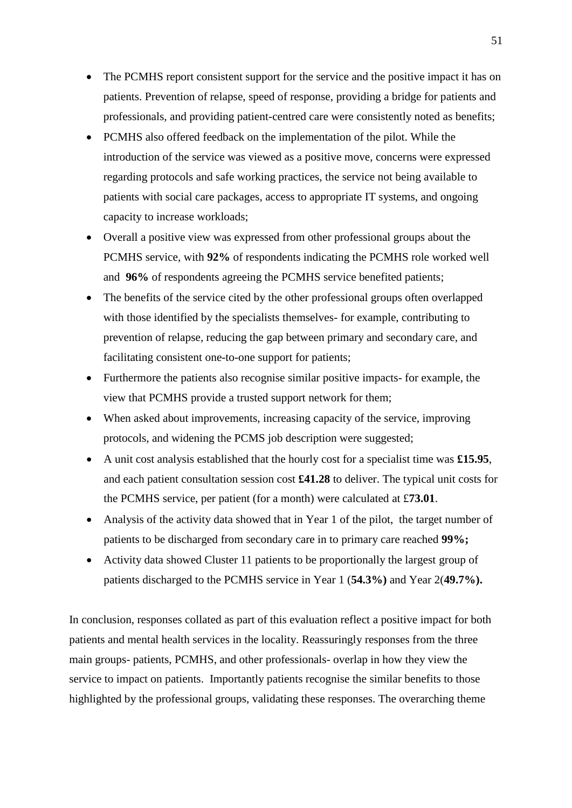- The PCMHS report consistent support for the service and the positive impact it has on patients. Prevention of relapse, speed of response, providing a bridge for patients and professionals, and providing patient-centred care were consistently noted as benefits;
- <span id="page-51-0"></span> PCMHS also offered feedback on the implementation of the pilot. While the introduction of the service was viewed as a positive move, concerns were expressed regarding protocols and safe working practices, the service not being available to patients with social care packages, access to appropriate IT systems, and ongoing capacity to increase workloads;
- Overall a positive view was expressed from other professional groups about the PCMHS service, with **92%** of respondents indicating the PCMHS role worked well and **96%** of respondents agreeing the PCMHS service benefited patients;
- The benefits of the service cited by the other professional groups often overlapped with those identified by the specialists themselves- for example, contributing to prevention of relapse, reducing the gap between primary and secondary care, and facilitating consistent one-to-one support for patients;
- Furthermore the patients also recognise similar positive impacts- for example, the view that PCMHS provide a trusted support network for them;
- When asked about improvements, increasing capacity of the service, improving protocols, and widening the PCMS job description were suggested;
- A unit cost analysis established that the hourly cost for a specialist time was **£15.95**, and each patient consultation session cost **£41.28** to deliver. The typical unit costs for the PCMHS service, per patient (for a month) were calculated at £**73.01**.
- Analysis of the activity data showed that in Year 1 of the pilot, the target number of patients to be discharged from secondary care in to primary care reached **99%;**
- Activity data showed Cluster 11 patients to be proportionally the largest group of patients discharged to the PCMHS service in Year 1 (**54.3%)** and Year 2(**49.7%).**

In conclusion, responses collated as part of this evaluation reflect a positive impact for both patients and mental health services in the locality. Reassuringly responses from the three main groups- patients, PCMHS, and other professionals- overlap in how they view the service to impact on patients. Importantly patients recognise the similar benefits to those highlighted by the professional groups, validating these responses. The overarching theme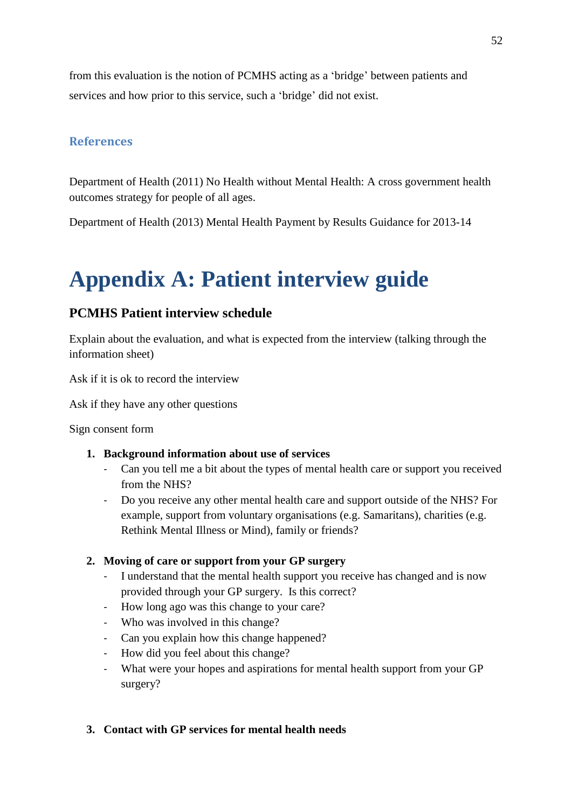from this evaluation is the notion of PCMHS acting as a 'bridge' between patients and services and how prior to this service, such a 'bridge' did not exist.

# **References**

Department of Health (2011) No Health without Mental Health: A cross government health outcomes strategy for people of all ages.

Department of Health (2013) Mental Health Payment by Results Guidance for 2013-14

# **Appendix A: Patient interview guide**

# **PCMHS Patient interview schedule**

Explain about the evaluation, and what is expected from the interview (talking through the information sheet)

Ask if it is ok to record the interview

Ask if they have any other questions

Sign consent form

# **1. Background information about use of services**

- Can you tell me a bit about the types of mental health care or support you received from the NHS?
- Do you receive any other mental health care and support outside of the NHS? For example, support from voluntary organisations (e.g. Samaritans), charities (e.g. Rethink Mental Illness or Mind), family or friends?

# **2. Moving of care or support from your GP surgery**

- I understand that the mental health support you receive has changed and is now provided through your GP surgery. Is this correct?
- How long ago was this change to your care?
- Who was involved in this change?
- Can you explain how this change happened?
- How did you feel about this change?
- What were your hopes and aspirations for mental health support from your GP surgery?

# **3. Contact with GP services for mental health needs**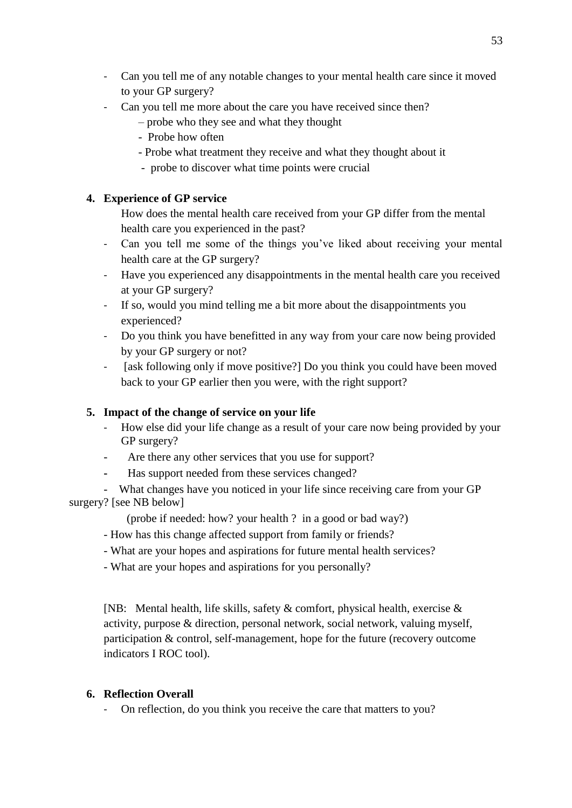- Can you tell me of any notable changes to your mental health care since it moved to your GP surgery?
- Can you tell me more about the care you have received since then?
	- probe who they see and what they thought
	- Probe how often
	- Probe what treatment they receive and what they thought about it
	- probe to discover what time points were crucial

# **4. Experience of GP service**

How does the mental health care received from your GP differ from the mental health care you experienced in the past?

- Can you tell me some of the things you've liked about receiving your mental health care at the GP surgery?
- Have you experienced any disappointments in the mental health care you received at your GP surgery?
- If so, would you mind telling me a bit more about the disappointments you experienced?
- Do you think you have benefitted in any way from your care now being provided by your GP surgery or not?
- [ask following only if move positive?] Do you think you could have been moved back to your GP earlier then you were, with the right support?

# **5. Impact of the change of service on your life**

- How else did your life change as a result of your care now being provided by your GP surgery?
- Are there any other services that you use for support?
- Has support needed from these services changed?
- What changes have you noticed in your life since receiving care from your GP surgery? [see NB below]
	- (probe if needed: how? your health ? in a good or bad way?)
	- How has this change affected support from family or friends?
	- What are your hopes and aspirations for future mental health services?
	- What are your hopes and aspirations for you personally?

[NB: Mental health, life skills, safety & comfort, physical health, exercise & activity, purpose & direction, personal network, social network, valuing myself, participation & control, self-management, hope for the future (recovery outcome indicators I ROC tool).

# **6. Reflection Overall**

On reflection, do you think you receive the care that matters to you?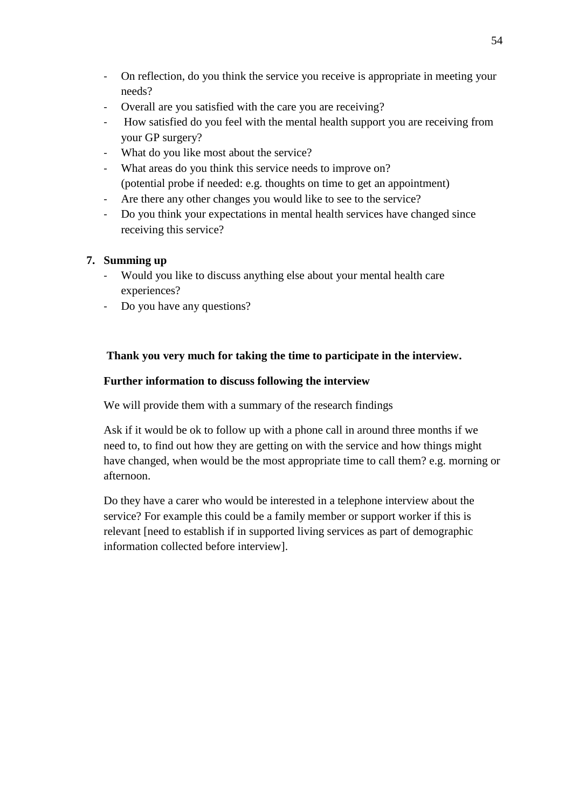- On reflection, do you think the service you receive is appropriate in meeting your needs?
- Overall are you satisfied with the care you are receiving?
- How satisfied do you feel with the mental health support you are receiving from your GP surgery?
- What do you like most about the service?
- What areas do you think this service needs to improve on? (potential probe if needed: e.g. thoughts on time to get an appointment)
- Are there any other changes you would like to see to the service?
- Do you think your expectations in mental health services have changed since receiving this service?

# **7. Summing up**

- Would you like to discuss anything else about your mental health care experiences?
- Do you have any questions?

# **Thank you very much for taking the time to participate in the interview.**

# **Further information to discuss following the interview**

We will provide them with a summary of the research findings

Ask if it would be ok to follow up with a phone call in around three months if we need to, to find out how they are getting on with the service and how things might have changed, when would be the most appropriate time to call them? e.g. morning or afternoon.

Do they have a carer who would be interested in a telephone interview about the service? For example this could be a family member or support worker if this is relevant [need to establish if in supported living services as part of demographic information collected before interview].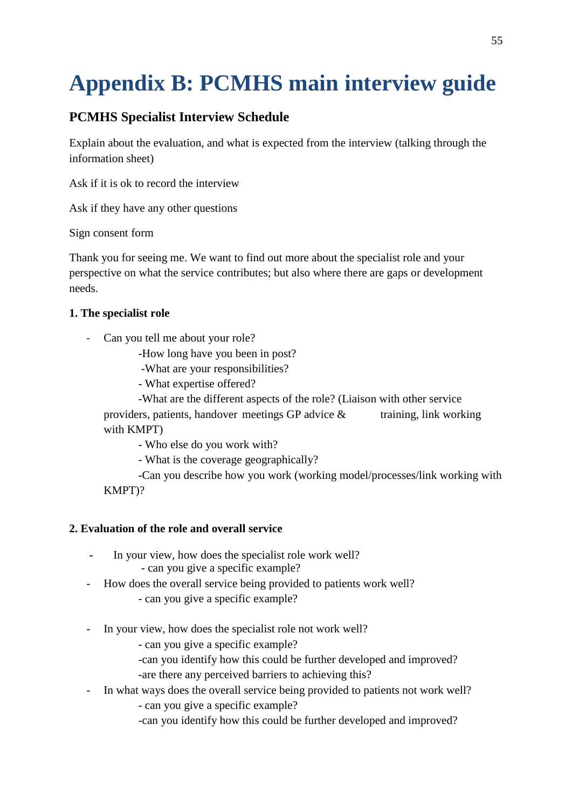# **Appendix B: PCMHS main interview guide**

# **PCMHS Specialist Interview Schedule**

Explain about the evaluation, and what is expected from the interview (talking through the information sheet)

Ask if it is ok to record the interview

Ask if they have any other questions

Sign consent form

Thank you for seeing me. We want to find out more about the specialist role and your perspective on what the service contributes; but also where there are gaps or development needs.

# **1. The specialist role**

- Can you tell me about your role?
	- -How long have you been in post?
	- -What are your responsibilities?
	- What expertise offered?
	- -What are the different aspects of the role? (Liaison with other service providers, patients, handover meetings GP advice  $\&$  training, link working with KMPT)
		- Who else do you work with?
		- What is the coverage geographically?

 -Can you describe how you work (working model/processes/link working with KMPT)?

# **2. Evaluation of the role and overall service**

- In your view, how does the specialist role work well? - can you give a specific example?
- How does the overall service being provided to patients work well?
	- can you give a specific example?
- In your view, how does the specialist role not work well?
	- can you give a specific example?
	- -can you identify how this could be further developed and improved?
	- -are there any perceived barriers to achieving this?
- In what ways does the overall service being provided to patients not work well?
	- can you give a specific example?
	- -can you identify how this could be further developed and improved?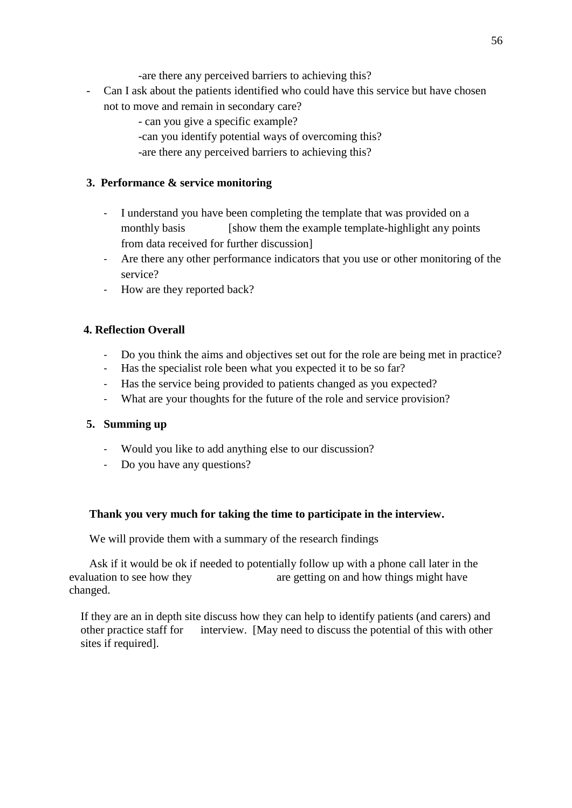-are there any perceived barriers to achieving this?

- Can I ask about the patients identified who could have this service but have chosen not to move and remain in secondary care?
	- can you give a specific example?
	- -can you identify potential ways of overcoming this?
	- -are there any perceived barriers to achieving this?

## **3. Performance & service monitoring**

- I understand you have been completing the template that was provided on a monthly basis [show them the example template-highlight any points] from data received for further discussion]
- Are there any other performance indicators that you use or other monitoring of the service?
- How are they reported back?

# **4. Reflection Overall**

- Do you think the aims and objectives set out for the role are being met in practice?
- Has the specialist role been what you expected it to be so far?
- Has the service being provided to patients changed as you expected?
- What are your thoughts for the future of the role and service provision?

# **5. Summing up**

- Would you like to add anything else to our discussion?
- Do you have any questions?

# **Thank you very much for taking the time to participate in the interview.**

We will provide them with a summary of the research findings

 Ask if it would be ok if needed to potentially follow up with a phone call later in the evaluation to see how they are getting on and how things might have changed.

If they are an in depth site discuss how they can help to identify patients (and carers) and other practice staff for interview. [May need to discuss the potential of this with other sites if required].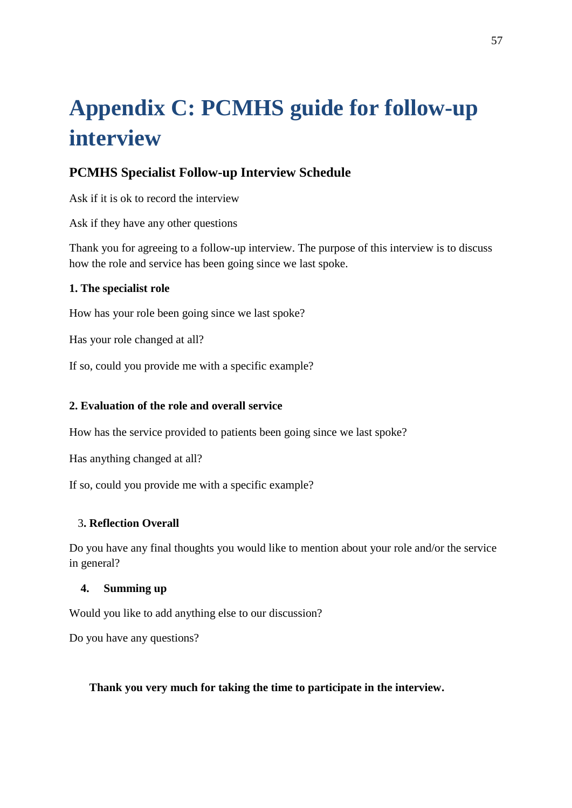# **Appendix C: PCMHS guide for follow-up interview**

# **PCMHS Specialist Follow-up Interview Schedule**

Ask if it is ok to record the interview

Ask if they have any other questions

Thank you for agreeing to a follow-up interview. The purpose of this interview is to discuss how the role and service has been going since we last spoke.

# **1. The specialist role**

How has your role been going since we last spoke?

Has your role changed at all?

If so, could you provide me with a specific example?

# **2. Evaluation of the role and overall service**

How has the service provided to patients been going since we last spoke?

Has anything changed at all?

If so, could you provide me with a specific example?

# 3**. Reflection Overall**

Do you have any final thoughts you would like to mention about your role and/or the service in general?

# **4. Summing up**

Would you like to add anything else to our discussion?

Do you have any questions?

 **Thank you very much for taking the time to participate in the interview.**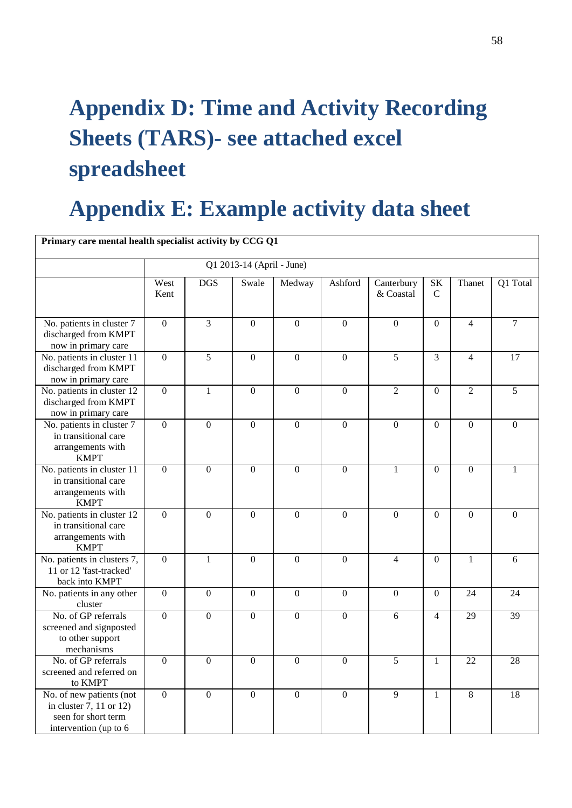# **Appendix D: Time and Activity Recording Sheets (TARS)- see attached excel spreadsheet**

# **Appendix E: Example activity data sheet**

| Primary care mental health specialist activity by CCG Q1                                            |                           |                  |                  |                  |                  |                         |                          |                  |                 |
|-----------------------------------------------------------------------------------------------------|---------------------------|------------------|------------------|------------------|------------------|-------------------------|--------------------------|------------------|-----------------|
|                                                                                                     | Q1 2013-14 (April - June) |                  |                  |                  |                  |                         |                          |                  |                 |
|                                                                                                     | West<br>Kent              | <b>DGS</b>       | Swale            | Medway           | Ashford          | Canterbury<br>& Coastal | $\rm SK$<br>$\mathsf{C}$ | Thanet           | Q1 Total        |
| No. patients in cluster 7<br>discharged from KMPT<br>now in primary care                            | $\overline{0}$            | $\overline{3}$   | $\overline{0}$   | $\overline{0}$   | $\overline{0}$   | $\overline{0}$          | $\overline{0}$           | $\overline{4}$   | $\overline{7}$  |
| No. patients in cluster 11<br>discharged from KMPT<br>now in primary care                           | $\overline{0}$            | $\overline{5}$   | $\boldsymbol{0}$ | $\overline{0}$   | $\overline{0}$   | $\overline{5}$          | 3                        | $\overline{4}$   | $\overline{17}$ |
| No. patients in cluster 12<br>discharged from KMPT<br>now in primary care                           | $\overline{0}$            | $\mathbf{1}$     | $\boldsymbol{0}$ | $\overline{0}$   | $\overline{0}$   | $\overline{2}$          | $\boldsymbol{0}$         | $\overline{2}$   | $\overline{5}$  |
| No. patients in cluster 7<br>in transitional care<br>arrangements with<br><b>KMPT</b>               | $\overline{0}$            | $\boldsymbol{0}$ | $\boldsymbol{0}$ | $\boldsymbol{0}$ | $\boldsymbol{0}$ | $\boldsymbol{0}$        | $\Omega$                 | $\boldsymbol{0}$ | $\Omega$        |
| No. patients in cluster 11<br>in transitional care<br>arrangements with<br><b>KMPT</b>              | $\overline{0}$            | $\boldsymbol{0}$ | $\mathbf{0}$     | $\overline{0}$   | $\mathbf{0}$     | $\mathbf{1}$            | $\mathbf{0}$             | $\overline{0}$   | $\mathbf{1}$    |
| No. patients in cluster 12<br>in transitional care<br>arrangements with<br><b>KMPT</b>              | $\mathbf{0}$              | $\overline{0}$   | $\mathbf{0}$     | $\mathbf{0}$     | $\mathbf{0}$     | $\overline{0}$          | $\mathbf{0}$             | $\overline{0}$   | $\overline{0}$  |
| No. patients in clusters 7,<br>11 or 12 'fast-tracked'<br>back into KMPT                            | $\overline{0}$            | $\mathbf{1}$     | $\mathbf{0}$     | $\mathbf{0}$     | $\mathbf{0}$     | $\overline{4}$          | $\mathbf{0}$             | $\mathbf{1}$     | 6               |
| No. patients in any other<br>cluster                                                                | $\mathbf{0}$              | $\overline{0}$   | $\mathbf{0}$     | $\overline{0}$   | $\mathbf{0}$     | $\overline{0}$          | $\mathbf{0}$             | 24               | 24              |
| No. of GP referrals<br>screened and signposted<br>to other support<br>mechanisms                    | $\overline{0}$            | $\overline{0}$   | $\mathbf{0}$     | $\overline{0}$   | $\overline{0}$   | 6                       | $\overline{4}$           | 29               | 39              |
| No. of GP referrals<br>screened and referred on<br>to KMPT                                          | $\overline{0}$            | $\overline{0}$   | $\boldsymbol{0}$ | $\boldsymbol{0}$ | $\mathbf{0}$     | 5                       | $\mathbf{1}$             | 22               | 28              |
| No. of new patients (not<br>in cluster 7, 11 or 12)<br>seen for short term<br>intervention (up to 6 | $\overline{0}$            | $\overline{0}$   | $\mathbf{0}$     | $\mathbf{0}$     | $\overline{0}$   | 9                       | $\mathbf{1}$             | 8                | 18              |

58